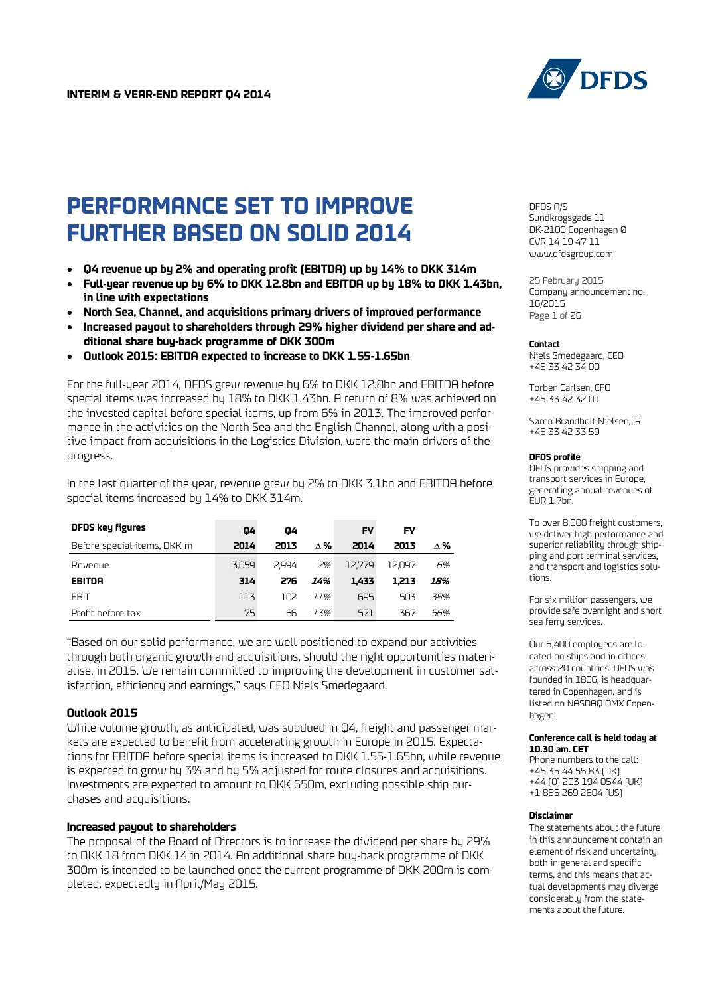

# **PERFORMANCE SET TO IMPROVE FURTHER BASED ON SOLID 2014**

- **Q4 revenue up by 2% and operating profit (EBITDA) up by 14% to DKK 314m**
- **Full-year revenue up by 6% to DKK 12.8bn and EBITDA up by 18% to DKK 1.43bn, in line with expectations**
- **North Sea, Channel, and acquisitions primary drivers of improved performance**
- **Increased payout to shareholders through 29% higher dividend per share and additional share buy-back programme of DKK 300m**
- **Outlook 2015: EBITDA expected to increase to DKK 1.55-1.65bn**

For the full-year 2014, DFDS grew revenue by 6% to DKK 12.8bn and EBITDA before special items was increased by 18% to DKK 1.43bn. A return of 8% was achieved on the invested capital before special items, up from 6% in 2013. The improved performance in the activities on the North Sea and the English Channel, along with a positive impact from acquisitions in the Logistics Division, were the main drivers of the progress.

In the last quarter of the year, revenue grew by 2% to DKK 3.1bn and EBITDA before special items increased by 14% to DKK 314m.

| <b>DFDS key figures</b>     | 04    | 04              |            | FY     | FY     |     |
|-----------------------------|-------|-----------------|------------|--------|--------|-----|
| Before special items, DKK m | 2014  | 2013            | $\wedge$ % | 2014   | 2013   | л‰  |
| Revenue                     | 3.059 | 2.994           | 2%         | 12.779 | 12.097 | 6%  |
| EBITDA                      | 314   | 276             | 14%        | 1.433  | 1.213  | 18% |
| <b>EBIT</b>                 | 113   | 10 <sub>2</sub> | 77%        | 695    | 503    | 38% |
| Profit before tax           | 75    | 66              | 7,7%       | 571    | 367    | 56% |

"Based on our solid performance, we are well positioned to expand our activities through both organic growth and acquisitions, should the right opportunities materialise, in 2015. We remain committed to improving the development in customer satisfaction, efficiency and earnings," says CEO Niels Smedegaard.

#### **Outlook 2015**

While volume growth, as anticipated, was subdued in Q4, freight and passenger markets are expected to benefit from accelerating growth in Europe in 2015. Expectations for EBITDA before special items is increased to DKK 1.55-1.65bn, while revenue is expected to grow by 3% and by 5% adjusted for route closures and acquisitions. Investments are expected to amount to DKK 650m, excluding possible ship purchases and acquisitions.

#### **Increased payout to shareholders**

The proposal of the Board of Directors is to increase the dividend per share by 29% to DKK 18 from DKK 14 in 2014. An additional share buy-back programme of DKK 300m is intended to be launched once the current programme of DKK 200m is completed, expectedly in April/May 2015.

DFDS A/S Sundkrogsgade 11 DK-2100 Copenhagen Ø CVR 14 19 47 11 [www.dfdsgroup.com](http://www.dfdsgroup.com/)

25 February 2015 Company announcement no. 16/2015 Page 1 of 26

#### **Contact**

Niels Smedegaard, CEO +45 33 42 34 00

Torben Carlsen, CFO +45 33 42 32 01

Søren Brøndholt Nielsen, IR +45 33 42 33 59

#### **DFDS profile**

DFDS provides shipping and transport services in Europe, generating annual revenues of  $E$ UR 1.7bn.

To over 8,000 freight customers, we deliver high performance and superior reliability through shipping and port terminal services, and transport and logistics solutions.

For six million passengers, we provide safe overnight and short sea ferry services.

Our 6,400 employees are located on ships and in offices across 20 countries. DFDS was founded in 1866, is headquartered in Copenhagen, and is listed on NASDAQ OMX Copenhagen.

#### **Conference call is held today at 10.30 am. CET**

Phone numbers to the call: +45 35 44 55 83 (DK) +44 (0) 203 194 0544 (UK) +1 855 269 2604 (US)

**Disclaimer**

The statements about the future in this announcement contain an element of risk and uncertainty, both in general and specific terms, and this means that actual developments may diverge considerably from the statements about the future.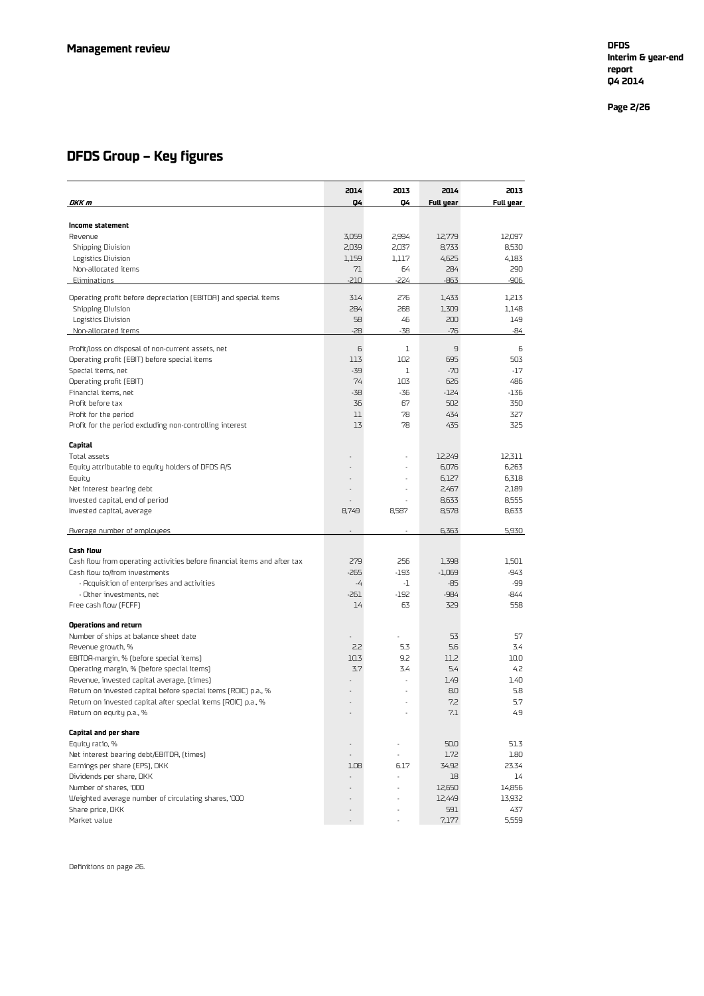**Interim & year -end report Q4 2014**

**Page 2 /26**

### **DFDS Group – Key figures**

|                                                                          | 2014   | 2013                     | 2014      | 2013      |
|--------------------------------------------------------------------------|--------|--------------------------|-----------|-----------|
| DKK m                                                                    | Q4     | Q4                       | Full year | Full year |
|                                                                          |        |                          |           |           |
| Income statement                                                         |        |                          |           |           |
| Revenue                                                                  | 3,059  | 2,994                    | 12,779    | 12,097    |
| <b>Shipping Division</b>                                                 | 2,039  | 2,037                    | 8,733     | 8,530     |
| Logistics Division                                                       | 1,159  | 1,117                    | 4,625     | 4,183     |
| Non-allocated items                                                      | 71     | 64                       | 284       | 290       |
| Eliminations                                                             | $-210$ | -224                     | $-863$    | -906      |
| Operating profit before depreciation (EBITDA) and special items          | 314    | 276                      | 1,433     | 1,213     |
| <b>Shipping Division</b>                                                 | 284    | 268                      | 1,309     | 1,148     |
| Logistics Division                                                       | 58     | 46                       | 200       | 149       |
| Non-allocated items                                                      | $-28$  | $-38$                    | $-76$     | -84       |
|                                                                          |        |                          |           |           |
| Profit/loss on disposal of non-current assets, net                       | 6      | 1                        | 9         | 6         |
| Operating profit (EBIT) before special items                             | 113    | 102                      | 695       | 503       |
| Special items, net                                                       | $-39$  | 1                        | $-70$     | $-17$     |
| Operating profit (EBIT)                                                  | 74     | 103                      | 626       | 486       |
| Financial items, net                                                     | $-38$  | -36                      | $-124$    | $-136$    |
| Profit before tax                                                        | 36     | 67                       | 502       | 350       |
| Profit for the period                                                    | 11     | 78                       | 434       | 327       |
| Profit for the period excluding non-controlling interest                 | 13     | 78                       | 435       | 325       |
|                                                                          |        |                          |           |           |
| Capital                                                                  |        |                          |           |           |
| Total assets                                                             |        |                          | 12,249    | 12,311    |
| Equity attributable to equity holders of DFDS A/S                        |        |                          | 6,076     | 6,263     |
| Equity                                                                   |        |                          | 6,127     | 6,318     |
| Net interest bearing debt                                                |        |                          | 2,467     | 2,189     |
| Invested capital, end of period                                          |        |                          | 8,633     | 8,555     |
| Invested capital, average                                                | 8,749  | 8,587                    | 8,578     | 8,633     |
|                                                                          |        |                          |           |           |
| Average number of employees                                              |        |                          | 6,363     | 5,930     |
| Cash flow                                                                |        |                          |           |           |
| Cash flow from operating activities before financial items and after tax | 279    | 256                      | 1,398     | 1,501     |
| Cash flow to/from investments                                            | $-265$ | $-193$                   | $-1,069$  | -943      |
| - Acquisition of enterprises and activities                              | -4     | -1                       | -85       | -99       |
| - Other investments, net                                                 | $-261$ | $-192$                   | $-984$    | -844      |
| Free cash flow (FCFF)                                                    | 14     | 63                       | 329       | 558       |
|                                                                          |        |                          |           |           |
| Operations and return                                                    |        |                          |           |           |
| Number of ships at balance sheet date                                    |        |                          | 53        | 57        |
| Revenue growth, %                                                        | 2.2    | 5.3                      | 5.6       | 3.4       |
| EBITDA-margin, % (before special items)                                  | 10.3   | 9.2                      | 11.2      | 10.0      |
| Operating margin, % (before special items)                               | 3.7    | 3.4                      | 5.4       | 4.2       |
| Revenue, invested capital average, (times)                               |        |                          | 1.49      | 1.40      |
| Return on invested capital before special items (ROIC) p.a., %           |        |                          | 8.0       | 5.8       |
| Return on invested capital after special items (ROIC) p.a., %            |        |                          | 7.2       | 5.7       |
| Return on equity p.a., %                                                 |        |                          | $7.1\,$   | 4.9       |
| Capital and per share                                                    |        |                          |           |           |
| Equity ratio, %                                                          |        |                          | 50.0      | 51.3      |
| Net interest bearing debt/EBITDA, (times)                                |        |                          | 1.72      | 1.80      |
| Earnings per share (EPS), DKK                                            | 1.08   | 6.17                     | 34.92     | 23.34     |
| Dividends per share, DKK                                                 |        |                          | 18        | 14        |
| Number of shares, '000                                                   |        |                          | 12,650    | 14,856    |
| Weighted average number of circulating shares, '000                      |        |                          | 12,449    | 13,932    |
| Share price, DKK                                                         |        |                          | 591       | 437       |
| Market value                                                             | $\sim$ | $\overline{\phantom{a}}$ | 7,177     | 5,559     |

Definitions on page 26.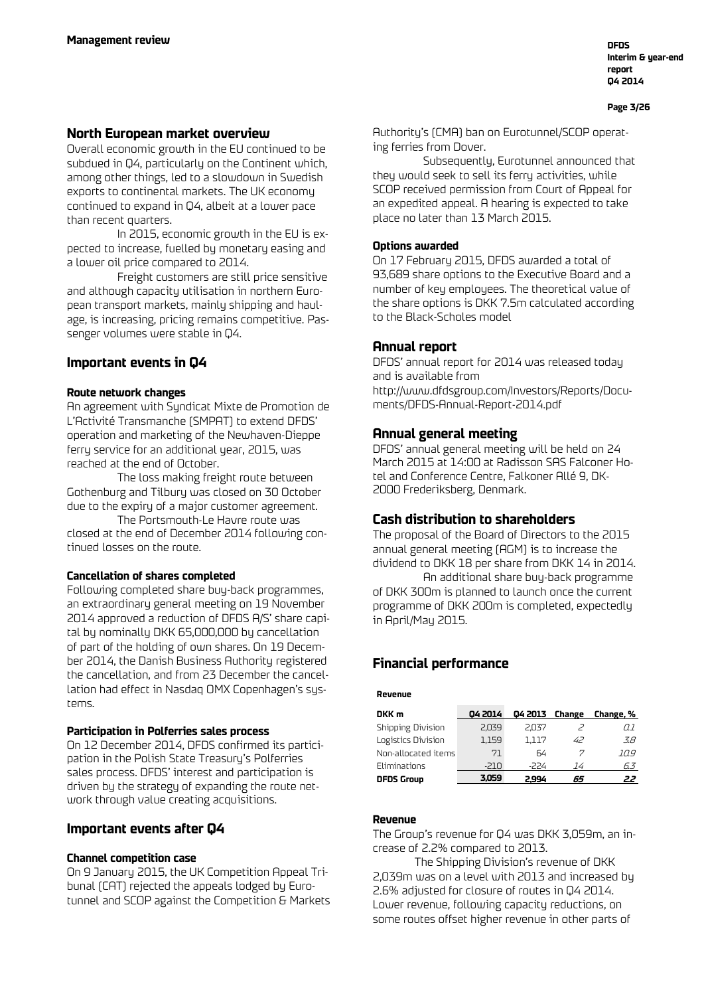#### **Page 3/26**

### **North European market overview**

Overall economic growth in the EU continued to be subdued in Q4, particularly on the Continent which, among other things, led to a slowdown in Swedish exports to continental markets. The UK economy continued to expand in Q4, albeit at a lower pace than recent quarters.

In 2015, economic growth in the EU is expected to increase, fuelled by monetary easing and a lower oil price compared to 2014.

Freight customers are still price sensitive and although capacity utilisation in northern European transport markets, mainly shipping and haulage, is increasing, pricing remains competitive. Passenger volumes were stable in Q4.

### **Important events in Q4**

#### **Route network changes**

An agreement with Syndicat Mixte de Promotion de L'Activité Transmanche (SMPAT) to extend DFDS' operation and marketing of the Newhaven-Dieppe ferry service for an additional year, 2015, was reached at the end of October.

The loss making freight route between Gothenburg and Tilbury was closed on 30 October due to the expiry of a major customer agreement.

The Portsmouth-Le Havre route was closed at the end of December 2014 following continued losses on the route.

#### **Cancellation of shares completed**

Following completed share buy-back programmes, an extraordinary general meeting on 19 November 2014 approved a reduction of DFDS A/S' share capital by nominally DKK 65,000,000 by cancellation of part of the holding of own shares. On 19 December 2014, the Danish Business Authority registered the cancellation, and from 23 December the cancellation had effect in Nasdaq OMX Copenhagen's systems.

#### **Participation in Polferries sales process**

On 12 December 2014, DFDS confirmed its participation in the Polish State Treasury's Polferries sales process. DFDS' interest and participation is driven by the strategy of expanding the route network through value creating acquisitions.

#### **Important events after Q4**

#### **Channel competition case**

On 9 January 2015, the UK Competition Appeal Tribunal (CAT) rejected the appeals lodged by Eurotunnel and SCOP against the Competition & Markets Authority's (CMA) ban on Eurotunnel/SCOP operating ferries from Dover.

Subsequently, Eurotunnel announced that they would seek to sell its ferry activities, while SCOP received permission from Court of Appeal for an expedited appeal. A hearing is expected to take place no later than 13 March 2015.

#### **Options awarded**

On 17 February 2015, DFDS awarded a total of 93,689 share options to the Executive Board and a number of key employees. The theoretical value of the share options is DKK 7.5m calculated according to the Black-Scholes model

#### **Annual report**

DFDS' annual report for 2014 was released today and is available from [http://www.dfdsgroup.com/Investors/Reports/Docu](http://www.dfdsgroup.com/Investors/Reports/Documents/DFDS-Annual-Report-2014.pdf)[ments/DFDS-Annual-Report-2014.pdf](http://www.dfdsgroup.com/Investors/Reports/Documents/DFDS-Annual-Report-2014.pdf)

#### **Annual general meeting**

DFDS' annual general meeting will be held on 24 March 2015 at 14:00 at Radisson SAS Falconer Hotel and Conference Centre, Falkoner Allé 9, DK-2000 Frederiksberg, Denmark.

#### **Cash distribution to shareholders**

The proposal of the Board of Directors to the 2015 annual general meeting (AGM) is to increase the dividend to DKK 18 per share from DKK 14 in 2014.

An additional share buy-back programme of DKK 300m is planned to launch once the current programme of DKK 200m is completed, expectedly in April/May 2015.

### **Financial performance**

| Revenue                                                                                                                                                                                                        |                                        |         |        |           |
|----------------------------------------------------------------------------------------------------------------------------------------------------------------------------------------------------------------|----------------------------------------|---------|--------|-----------|
| DKK m                                                                                                                                                                                                          | 04 2014                                | 04 2013 | Change | Change, % |
| Shipping Division                                                                                                                                                                                              | 2,039                                  | 2,037   | $\geq$ | N. I      |
| Logistics Division                                                                                                                                                                                             | 1,159                                  | 1.117   | 42     | 3.8       |
| Non-allocated items                                                                                                                                                                                            | 71                                     | 64      | 7      | 10.9      |
| Eliminations                                                                                                                                                                                                   | $-210$                                 | $-224$  | 14     | 6.3       |
| <b>DFDS Group</b>                                                                                                                                                                                              | 3,059                                  | 2,994   | 65     | 22        |
| Revenue<br>The Group's revenue for Q4 was DKK 3,059m, an in-<br>crease of 2.2% compared to 2013.                                                                                                               | The Shipping Division's revenue of DKK |         |        |           |
| 2,039m was on a level with 2013 and increased by<br>2.6% adjusted for closure of routes in Q4 2014.<br>Lower revenue, following capacity reductions, on<br>some routes offset higher revenue in other parts of |                                        |         |        |           |

#### **Revenue**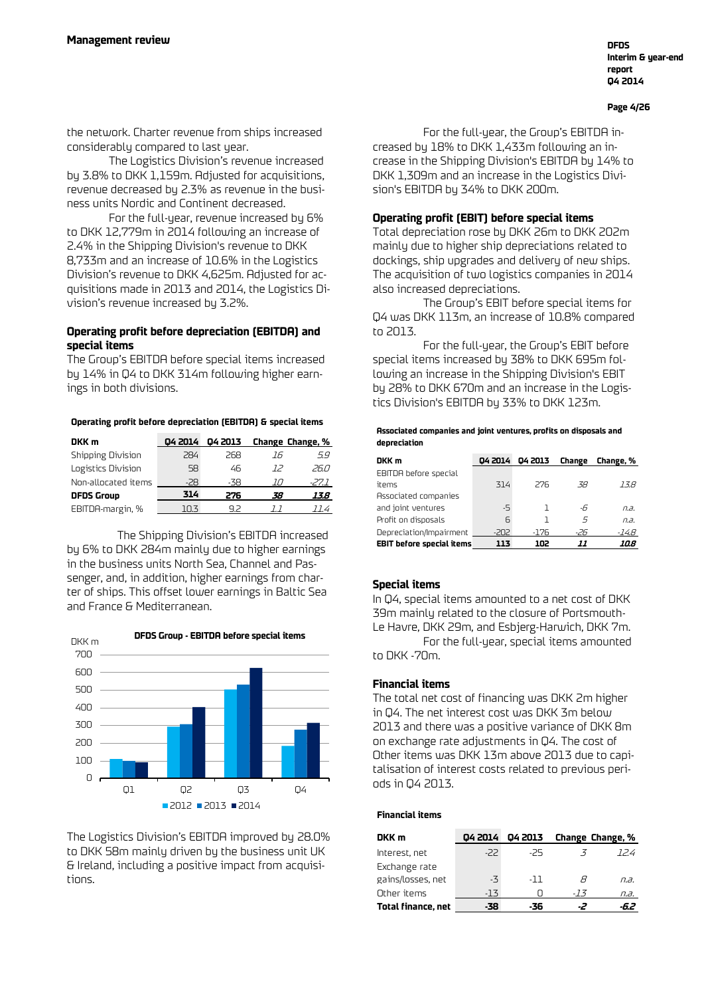**Page 4/26**

the network. Charter revenue from ships increased considerably compared to last year.

The Logistics Division's revenue increased by 3.8% to DKK 1,159m. Adjusted for acquisitions, revenue decreased by 2.3% as revenue in the business units Nordic and Continent decreased.

For the full-year, revenue increased by 6% to DKK 12,779m in 2014 following an increase of 2.4% in the Shipping Division's revenue to DKK 8,733m and an increase of 10.6% in the Logistics Division's revenue to DKK 4,625m. Adjusted for acquisitions made in 2013 and 2014, the Logistics Division's revenue increased by 3.2%.

#### **Operating profit before depreciation (EBITDA) and special items**

The Group's EBITDA before special items increased by 14% in Q4 to DKK 314m following higher earnings in both divisions.

#### **Operating profit before depreciation (EBITDA) & special items**

| DKK m               | 04 2014 | 04 2013 |    | Change Change, % |
|---------------------|---------|---------|----|------------------|
| Shipping Division   | 284     | 268     | 16 | 5.9              |
| Logistics Division  | 58      | 46      | 72 | 26.N             |
| Non-allocated items | -28     | -38     |    | -27.1            |
| <b>DFDS Group</b>   | 314     | 276     | 38 | 13.8             |
| EBITDA-margin, %    | 103     | 92      |    | 114              |

The Shipping Division's EBITDA increased by 6% to DKK 284m mainly due to higher earnings in the business units North Sea, Channel and Passenger, and, in addition, higher earnings from charter of ships. This offset lower earnings in Baltic Sea and France & Mediterranean.



The Logistics Division's EBITDA improved by 28.0% to DKK 58m mainly driven by the business unit UK & Ireland, including a positive impact from acquisitions.

For the full-year, the Group's EBITDA increased by 18% to DKK 1,433m following an increase in the Shipping Division's EBITDA by 14% to DKK 1,309m and an increase in the Logistics Division's EBITDA by 34% to DKK 200m.

#### **Operating profit (EBIT) before special items**

Total depreciation rose by DKK 26m to DKK 202m mainly due to higher ship depreciations related to dockings, ship upgrades and delivery of new ships. The acquisition of two logistics companies in 2014 also increased depreciations.

The Group's EBIT before special items for Q4 was DKK 113m, an increase of 10.8% compared to 2013.

For the full-year, the Group's EBIT before special items increased by 38% to DKK 695m following an increase in the Shipping Division's EBIT by 28% to DKK 670m and an increase in the Logistics Division's EBITDA by 33% to DKK 123m.

| Associated companies and joint ventures, profits on disposals and |
|-------------------------------------------------------------------|
| depreciation                                                      |

| DKK m                            | 04 2014 | 04 2013 | Change | Change, % |
|----------------------------------|---------|---------|--------|-----------|
| EBITDA before special            |         |         |        |           |
| items                            | 314     | 276     | -38    | 13.8      |
| Associated companies             |         |         |        |           |
| and joint ventures               | $-5$    |         | -6     | n.a.      |
| Profit on disposals              | F       |         | 5      | n.a.      |
| Depreciation/Impairment          | $-202$  | $-176$  | -26    | -14.8     |
| <b>EBIT before special items</b> | 113     | 102     | 11     | 10.8      |

#### **Special items**

In Q4, special items amounted to a net cost of DKK 39m mainly related to the closure of Portsmouth-Le Havre, DKK 29m, and Esbjerg-Harwich, DKK 7m. For the full-year, special items amounted to DKK -70m.

#### **Financial items**

The total net cost of financing was DKK 2m higher in Q4. The net interest cost was DKK 3m below 2013 and there was a positive variance of DKK 8m on exchange rate adjustments in Q4. The cost of Other items was DKK 13m above 2013 due to capitalisation of interest costs related to previous periods in Q4 2013.

#### **Financial items**

| DKK m                     | 04 2014 | 04 2013 |     | Change Change, % |
|---------------------------|---------|---------|-----|------------------|
| Interest, net             | -22     | -25     |     | 124              |
| Exchange rate             |         |         |     |                  |
| gains/losses, net         | $-7$    | -11     | н   | n.a.             |
| Other items               | -13     |         | -13 | n.a.             |
| <b>Total finance, net</b> | -38     | -36     |     |                  |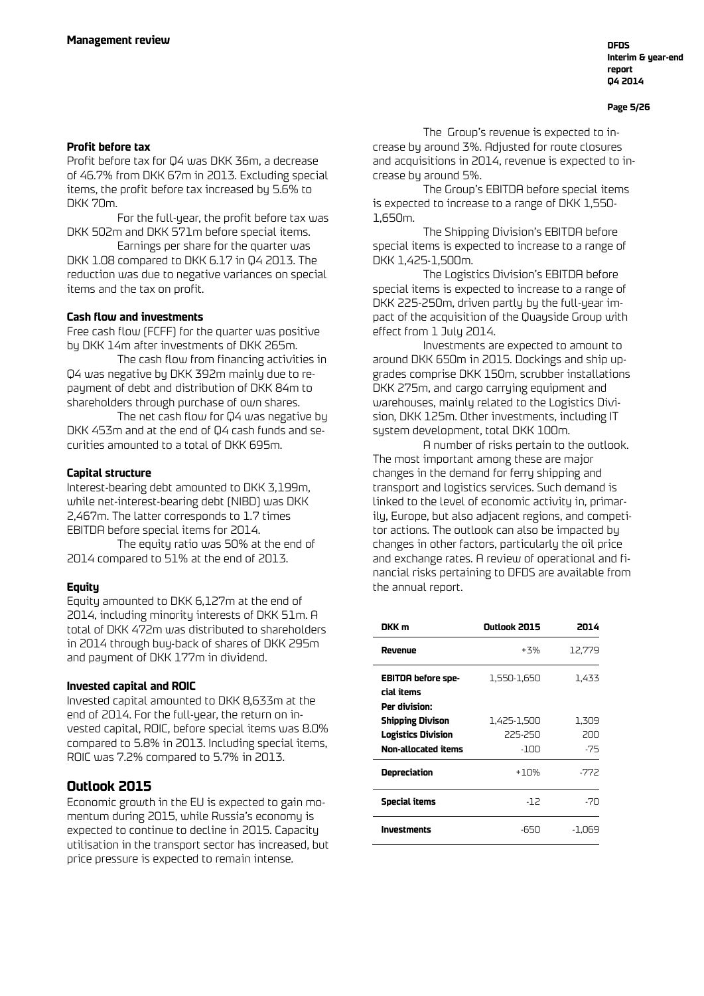#### **Page 5/26**

#### **Profit before tax**

Profit before tax for Q4 was DKK 36m, a decrease of 46.7% from DKK 67m in 2013. Excluding special items, the profit before tax increased by 5.6% to DKK 70m.

For the full-year, the profit before tax was DKK 502m and DKK 571m before special items.

Earnings per share for the quarter was DKK 1.08 compared to DKK 6.17 in Q4 2013. The reduction was due to negative variances on special items and the tax on profit.

#### **Cash flow and investments**

Free cash flow (FCFF) for the quarter was positive by DKK 14m after investments of DKK 265m.

The cash flow from financing activities in Q4 was negative by DKK 392m mainly due to repayment of debt and distribution of DKK 84m to shareholders through purchase of own shares.

The net cash flow for Q4 was negative by DKK 453m and at the end of Q4 cash funds and securities amounted to a total of DKK 695m.

#### **Capital structure**

Interest-bearing debt amounted to DKK 3,199m, while net-interest-bearing debt (NIBD) was DKK 2,467m. The latter corresponds to 1.7 times EBITDA before special items for 2014.

The equity ratio was 50% at the end of 2014 compared to 51% at the end of 2013.

#### **Equity**

Equity amounted to DKK 6,127m at the end of 2014, including minority interests of DKK 51m. A total of DKK 472m was distributed to shareholders in 2014 through buy-back of shares of DKK 295m and payment of DKK 177m in dividend.

#### **Invested capital and ROIC**

Invested capital amounted to DKK 8,633m at the end of 2014. For the full-year, the return on invested capital, ROIC, before special items was 8.0% compared to 5.8% in 2013. Including special items, ROIC was 7.2% compared to 5.7% in 2013.

#### **Outlook 2015**

Economic growth in the EU is expected to gain momentum during 2015, while Russia's economy is expected to continue to decline in 2015. Capacity utilisation in the transport sector has increased, but price pressure is expected to remain intense.

The Group's revenue is expected to increase by around 3%. Adjusted for route closures and acquisitions in 2014, revenue is expected to increase by around 5%.

The Group's EBITDA before special items is expected to increase to a range of DKK 1,550- 1,650m.

The Shipping Division's EBITDA before special items is expected to increase to a range of DKK 1,425-1,500m.

The Logistics Division's EBITDA before special items is expected to increase to a range of DKK 225-250m, driven partly by the full-year impact of the acquisition of the Quayside Group with effect from 1 July 2014.

Investments are expected to amount to around DKK 650m in 2015. Dockings and ship upgrades comprise DKK 150m, scrubber installations DKK 275m, and cargo carrying equipment and warehouses, mainly related to the Logistics Division, DKK 125m. Other investments, including IT system development, total DKK 100m.

A number of risks pertain to the outlook. The most important among these are major changes in the demand for ferry shipping and transport and logistics services. Such demand is linked to the level of economic activity in, primarily, Europe, but also adjacent regions, and competitor actions. The outlook can also be impacted by changes in other factors, particularly the oil price and exchange rates. A review of operational and financial risks pertaining to DFDS are available from the annual report.

| DKK m                                                                                               | Outlook 2015                   | 2014                |
|-----------------------------------------------------------------------------------------------------|--------------------------------|---------------------|
| Revenue                                                                                             | $+3%$                          | 12,779              |
| <b>EBITDA before spe-</b><br>cial items                                                             | 1,550-1,650                    | 1.433               |
| Per division:<br><b>Shipping Divison</b><br><b>Logistics Division</b><br><b>Non-allocated items</b> | 1,425-1,500<br>225-250<br>-100 | 1,309<br>200<br>-75 |
| Depreciation                                                                                        | $+10%$                         | -772                |
| Special items                                                                                       | -12                            | $-70$               |
| <b>Investments</b>                                                                                  | -650                           | -1.069              |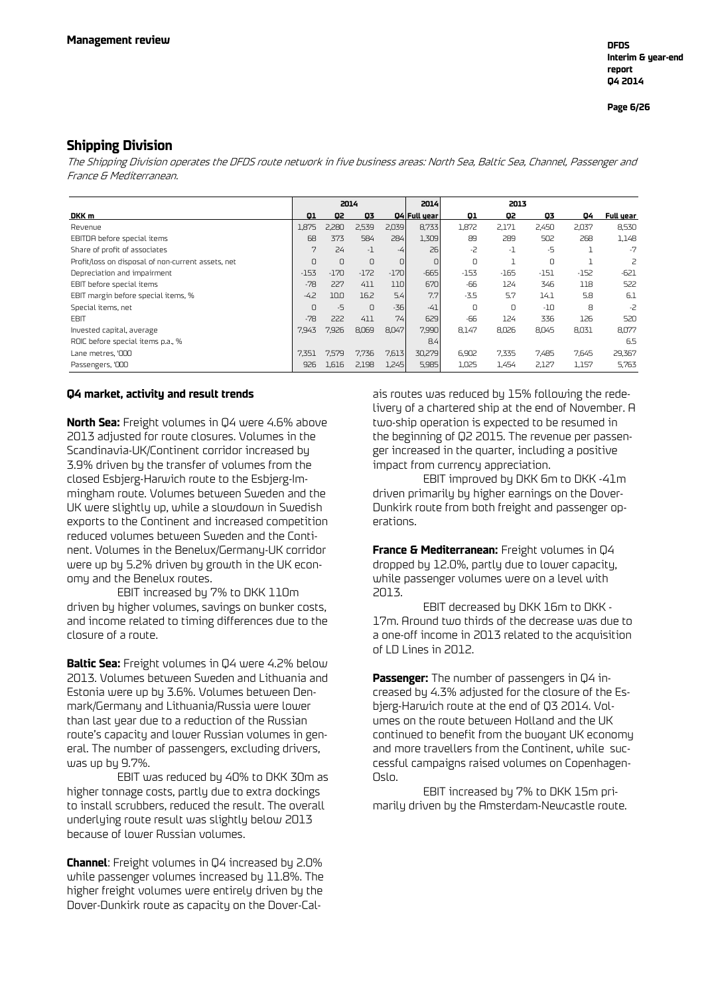#### **Shipping Division**

The Shipping Division operates the DFDS route network in five business areas: North Sea, Baltic Sea, Channel, Passenger and France & Mediterranean.

|                                                    |        | 2014   |          |        | 2014         | 2013   |        |        |        |           |
|----------------------------------------------------|--------|--------|----------|--------|--------------|--------|--------|--------|--------|-----------|
| DKK m                                              | 01     | 02     | Q3       |        | 04 Full year | 01     | Q2     | 03     | 04     | Full year |
| Revenue                                            | 1,875  | 2,280  | 2,539    | 2,039  | 8,733        | 1,872  | 2,171  | 2,450  | 2,037  | 8,530     |
| EBITDA before special items                        | 68     | 373    | 584      | 284    | 1,309        | 89     | 289    | 502    | 268    | 1,148     |
| Share of profit of associates                      | 7      | 24     | $-1$     | -4     | 26           | $-2$   | $-1$   | -5     |        | $-7$      |
| Profit/loss on disposal of non-current assets, net | 0      | 0      | $\cup$   | 0      | 0            | 0      |        | $\cup$ |        | 2         |
| Depreciation and impairment                        | $-153$ | $-170$ | $-172$   | $-170$ | $-665$       | $-153$ | $-165$ | $-151$ | $-152$ | $-621$    |
| EBIT before special items                          | $-78$  | 227    | 411      | 110    | 670          | -66    | 124    | 346    | 118    | 522       |
| EBIT margin before special items, %                | $-4.2$ | 10.0   | 16.2     | 5.4    | 7.7          | $-3.5$ | 5.7    | 14.1   | 5.8    | 6.1       |
| Special items, net                                 | 0      | $-5$   | $\Omega$ | $-36$  | $-41$        | 0      | 0      | $-10$  | 8      | $-2$      |
| <b>EBIT</b>                                        | $-78$  | 222    | 411      | 74     | 629          | -66    | 124    | 336    | 126    | 520       |
| Invested capital, average                          | 7.943  | 7,926  | 8,069    | 8,047  | 7,990        | 8.147  | 8,026  | 8,045  | 8,031  | 8,077     |
| ROIC before special items p.a., %                  |        |        |          |        | 8.4          |        |        |        |        | 6.5       |
| Lane metres, '000                                  | 7,351  | 7,579  | 7,736    | 7,613  | 30,279       | 6,902  | 7,335  | 7,485  | 7,645  | 29,367    |
| Passengers, '000                                   | 926    | 1,616  | 2,198    | 1,245  | 5,985        | 1,025  | 1,454  | 2,127  | 1,157  | 5,763     |

#### **Q4 market, activity and result trends**

**North Sea:** Freight volumes in Q4 were 4.6% above 2013 adjusted for route closures. Volumes in the Scandinavia-UK/Continent corridor increased by 3.9% driven by the transfer of volumes from the closed Esbjerg-Harwich route to the Esbjerg-Immingham route. Volumes between Sweden and the UK were slightly up, while a slowdown in Swedish exports to the Continent and increased competition reduced volumes between Sweden and the Continent. Volumes in the Benelux/Germany-UK corridor were up by 5.2% driven by growth in the UK economy and the Benelux routes.

EBIT increased by 7% to DKK 110m driven by higher volumes, savings on bunker costs, and income related to timing differences due to the closure of a route.

**Baltic Sea:** Freight volumes in Q4 were 4.2% below 2013. Volumes between Sweden and Lithuania and Estonia were up by 3.6%. Volumes between Denmark/Germany and Lithuania/Russia were lower than last year due to a reduction of the Russian route's capacity and lower Russian volumes in general. The number of passengers, excluding drivers, was up by 9.7%.

EBIT was reduced by 40% to DKK 30m as higher tonnage costs, partly due to extra dockings to install scrubbers, reduced the result. The overall underlying route result was slightly below 2013 because of lower Russian volumes.

**Channel**: Freight volumes in Q4 increased by 2.0% while passenger volumes increased by 11.8%. The higher freight volumes were entirely driven by the Dover-Dunkirk route as capacity on the Dover-Calais routes was reduced by 15% following the redelivery of a chartered ship at the end of November. A two-ship operation is expected to be resumed in the beginning of Q2 2015. The revenue per passenger increased in the quarter, including a positive impact from currency appreciation.

EBIT improved by DKK 6m to DKK -41m driven primarily by higher earnings on the Dover-Dunkirk route from both freight and passenger operations.

**France & Mediterranean:** Freight volumes in Q4 dropped by 12.0%, partly due to lower capacity, while passenger volumes were on a level with 2013.

EBIT decreased by DKK 16m to DKK - 17m. Around two thirds of the decrease was due to a one-off income in 2013 related to the acquisition of LD Lines in 2012.

**Passenger:** The number of passengers in Q4 increased by 4.3% adjusted for the closure of the Esbjerg-Harwich route at the end of Q3 2014. Volumes on the route between Holland and the UK continued to benefit from the buoyant UK economy and more travellers from the Continent, while successful campaigns raised volumes on Copenhagen-Oslo.

EBIT increased by 7% to DKK 15m primarily driven by the Amsterdam-Newcastle route.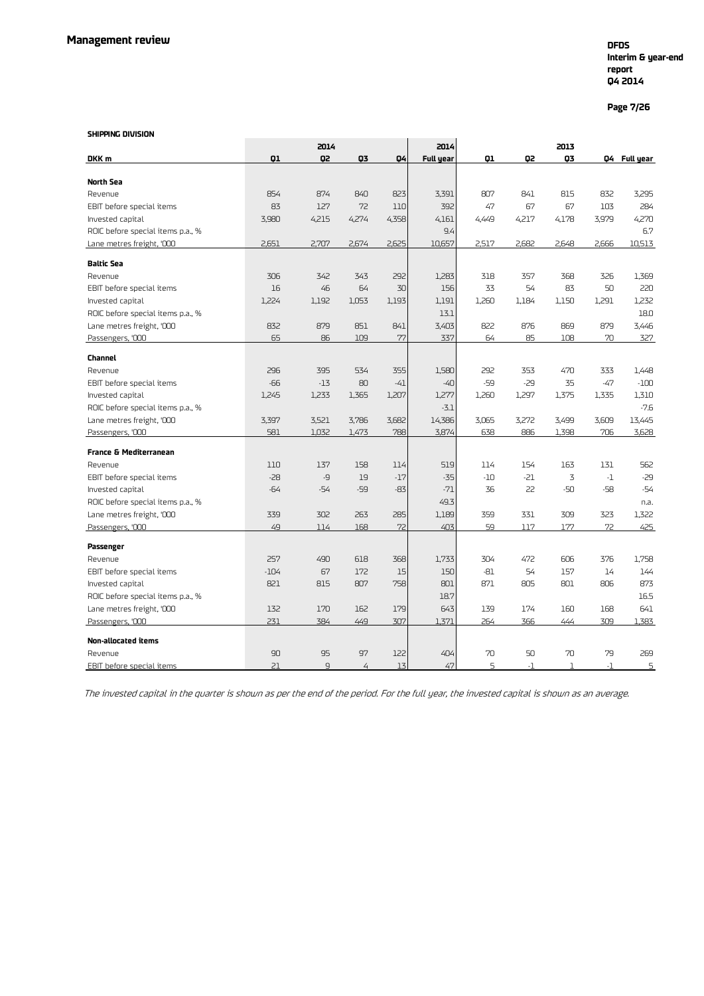### **Interim & year-end report Q4 2014**

**Page 7/26**

#### **SHIPPING DIVISION**

|                                   |        | 2014           |                |       | 2014      |       |       | 2013  |       |              |
|-----------------------------------|--------|----------------|----------------|-------|-----------|-------|-------|-------|-------|--------------|
| DKK m                             | Q1     | Q2             | Q3             | Q4    | Full year | Q1    | Q2    | 03    |       | Q4 Full year |
|                                   |        |                |                |       |           |       |       |       |       |              |
| <b>North Sea</b><br>Revenue       | 854    | 874            | 840            | 823   | 3,391     | 807   | 841   | 815   | 832   | 3,295        |
| EBIT before special items         | 83     | 127            | 72             | 110   | 392       | 47    | 67    | 67    | 103   | 284          |
| Invested capital                  | 3,980  | 4,215          | 4,274          | 4,358 | 4,161     | 4,449 | 4,217 | 4,178 | 3,979 | 4,270        |
| ROIC before special items p.a., % |        |                |                |       | 9.4       |       |       |       |       | 6.7          |
|                                   | 2,651  | 2.707          |                | 2,625 | 10,657    | 2.517 | 2.682 | 2.648 | 2,666 | 10.513       |
| Lane metres freight, '000         |        |                | 2,674          |       |           |       |       |       |       |              |
| <b>Baltic Sea</b>                 |        |                |                |       |           |       |       |       |       |              |
| Revenue                           | 306    | 342            | 343            | 292   | 1,283     | 318   | 357   | 368   | 326   | 1,369        |
| EBIT before special items         | 16     | 46             | 64             | 30    | 156       | 33    | 54    | 83    | 50    | 220          |
| Invested capital                  | 1,224  | 1,192          | 1,053          | 1,193 | 1,191     | 1,260 | 1,184 | 1,150 | 1,291 | 1,232        |
| ROIC before special items p.a., % |        |                |                |       | 13.1      |       |       |       |       | 18.0         |
| Lane metres freight, '000         | 832    | 879            | 851            | 841   | 3,403     | 822   | 876   | 869   | 879   | 3,446        |
| Passengers, '000                  | 65     | 86             | 109            | 77    | 337       | 64    | 85    | 108   | 70    | 327          |
|                                   |        |                |                |       |           |       |       |       |       |              |
| <b>Channel</b>                    |        |                |                |       |           |       |       |       |       |              |
| Revenue                           | 296    | 395            | 534            | 355   | 1,580     | 292   | 353   | 470   | 333   | 1,448        |
| EBIT before special items         | -66    | $-13$          | 80             | $-41$ | $-40$     | -59   | -29   | 35    | $-47$ | $-100$       |
| Invested capital                  | 1,245  | 1,233          | 1,365          | 1,207 | 1,277     | 1,260 | 1,297 | 1,375 | 1,335 | 1,310        |
| ROIC before special items p.a., % |        |                |                |       | $-3.1$    |       |       |       |       | $-7.6$       |
| Lane metres freight, '000         | 3,397  | 3,521          | 3,786          | 3,682 | 14,386    | 3,065 | 3,272 | 3,499 | 3,609 | 13,445       |
| Passengers, '000                  | 581    | 1,032          | 1,473          | 788   | 3,874     | 638   | 886   | 1,398 | 706   | 3,628        |
| <b>France &amp; Mediterranean</b> |        |                |                |       |           |       |       |       |       |              |
| Revenue                           | 110    | 137            | 158            | 114   | 519       | 114   | 154   | 163   | 131   | 562          |
| EBIT before special items         | $-28$  | -9             | 19             | $-17$ | $-35$     | $-10$ | -21   | 3     | $-1$  | $-29$        |
| Invested capital                  | $-64$  | $-54$          | $-59$          | $-83$ | $-71$     | 36    | 22    | -50   | -58   | $-54$        |
| ROIC before special items p.a., % |        |                |                |       | 49.3      |       |       |       |       | n.a.         |
| Lane metres freight, '000         | 339    | 302            | 263            | 285   | 1,189     | 359   | 331   | 309   | 323   | 1,322        |
| Passengers, '000                  | 49     | 114            | 168            | 72    | 403       | 59    | 117   | 177   | 72    | 425          |
| Passenger                         |        |                |                |       |           |       |       |       |       |              |
| Revenue                           | 257    | 490            | 618            | 368   | 1,733     | 304   | 472   | 606   | 376   | 1,758        |
| EBIT before special items         | $-104$ | 67             | 172            | 15    | 150       | $-81$ | 54    | 157   | 14    | 144          |
| Invested capital                  | 821    | 815            | 807            | 758   | 801       | 871   | 805   | 801   | 806   | 873          |
| ROIC before special items p.a., % |        |                |                |       | 18.7      |       |       |       |       | 16.5         |
| Lane metres freight, '000         | 132    | 170            | 162            | 179   | 643       | 139   | 174   | 160   | 168   | 641          |
| Passengers, '000                  | 231    | 384            | 449            | 307   | 1.371     | 264   | 366   | 444   | 309   | 1.383        |
|                                   |        |                |                |       |           |       |       |       |       |              |
| <b>Non-allocated items</b>        |        |                |                |       |           |       |       |       |       |              |
| Revenue                           | 90     | 95             | 97             | 122   | 404       | 70    | 50    | 70    | 79    | 269          |
| EBIT before special items         | 21     | $\overline{9}$ | $\overline{4}$ | 13    | 47        | 5     | $-1$  | ı     | $-1$  | 5            |

The invested capital in the quarter is shown as per the end of the period. For the full year, the invested capital is shown as an average.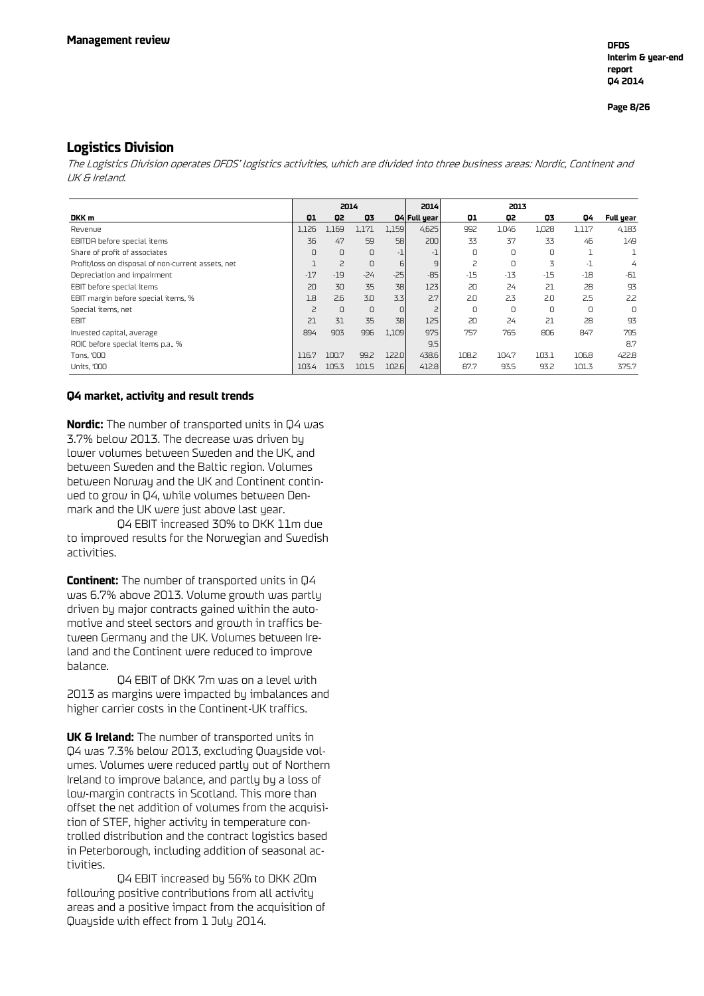**Page 8/26**

#### **Logistics Division**

The Logistics Division operates DFDS' logistics activities, which are divided into three business areas: Nordic, Continent and UK & Ireland.

|                                                    |       | 2014           |        |       | 2014           | 2013  |       |       |       |                |
|----------------------------------------------------|-------|----------------|--------|-------|----------------|-------|-------|-------|-------|----------------|
| DKK m                                              | 01    | 02             | 03     |       | 04 Full year   | 01    | Q2    | 03    | 04    | Full year      |
| Revenue                                            | 1,126 | 1,169          | 1,171  | 1,159 | 4,625          | 992   | 1,046 | 1,028 | 1,117 | 4,183          |
| EBITDA before special items                        | 36    | 47             | 59     | 58    | 200            | 33    | 37    | 33    | 46    | 149            |
| Share of profit of associates                      | 0     | 0              | $\cup$ | - 1   | -1             | 0     | 0     | 0     |       |                |
| Profit/loss on disposal of non-current assets, net |       | $\overline{c}$ | $\cup$ | 6     | $\overline{9}$ | 2     | 0     | 3     | -1    | $\overline{4}$ |
| Depreciation and impairment                        | $-17$ | $-19$          | $-24$  | $-25$ | $-85$          | $-15$ | $-13$ | $-15$ | $-18$ | $-61$          |
| EBIT before special items                          | 20    | 30             | 35     | 38    | 123            | 20    | 24    | 21    | 28    | 93             |
| EBIT margin before special items, %                | 1.8   | 2.6            | 3.0    | 3.3   | 2.7            | 2.0   | 2.3   | 2.0   | 2.5   | 2.2            |
| Special items, net                                 | 2     | $\Omega$       | $\cup$ | 0     |                | 0     | 0     | U     |       | 0              |
| <b>FBIT</b>                                        | 21    | 31             | 35     | 38    | 125            | 20    | 24    | 21    | 28    | 93             |
| Invested capital, average                          | 894   | 903            | 996    | 1,109 | 975            | 757   | 765   | 806   | 847   | 795            |
| ROIC before special items p.a., %                  |       |                |        |       | 9.5            |       |       |       |       | 8.7            |
| Tons, '000                                         | 116.7 | 100.7          | 99.2   | 122.0 | 438.6          | 108.2 | 104.7 | 103.1 | 106.8 | 422.8          |
| Units, '000                                        | 103.4 | 105.3          | 101.5  | 102.6 | 412.8          | 87.7  | 93.5  | 93.2  | 101.3 | 375.7          |

#### **Q4 market, activity and result trends**

**Nordic:** The number of transported units in Q4 was 3.7% below 2013. The decrease was driven by lower volumes between Sweden and the UK, and between Sweden and the Baltic region. Volumes between Norway and the UK and Continent continued to grow in Q4, while volumes between Denmark and the UK were just above last year.

Q4 EBIT increased 30% to DKK 11m due to improved results for the Norwegian and Swedish activities.

**Continent:** The number of transported units in Q4 was 6.7% above 2013. Volume growth was partly driven by major contracts gained within the automotive and steel sectors and growth in traffics between Germany and the UK. Volumes between Ireland and the Continent were reduced to improve balance.

Q4 EBIT of DKK 7m was on a level with 2013 as margins were impacted by imbalances and higher carrier costs in the Continent-UK traffics.

**UK & Ireland:** The number of transported units in Q4 was 7.3% below 2013, excluding Quayside volumes. Volumes were reduced partly out of Northern Ireland to improve balance, and partly by a loss of low-margin contracts in Scotland. This more than offset the net addition of volumes from the acquisition of STEF, higher activity in temperature controlled distribution and the contract logistics based in Peterborough, including addition of seasonal activities.

Q4 EBIT increased by 56% to DKK 20m following positive contributions from all activity areas and a positive impact from the acquisition of Quayside with effect from 1 July 2014.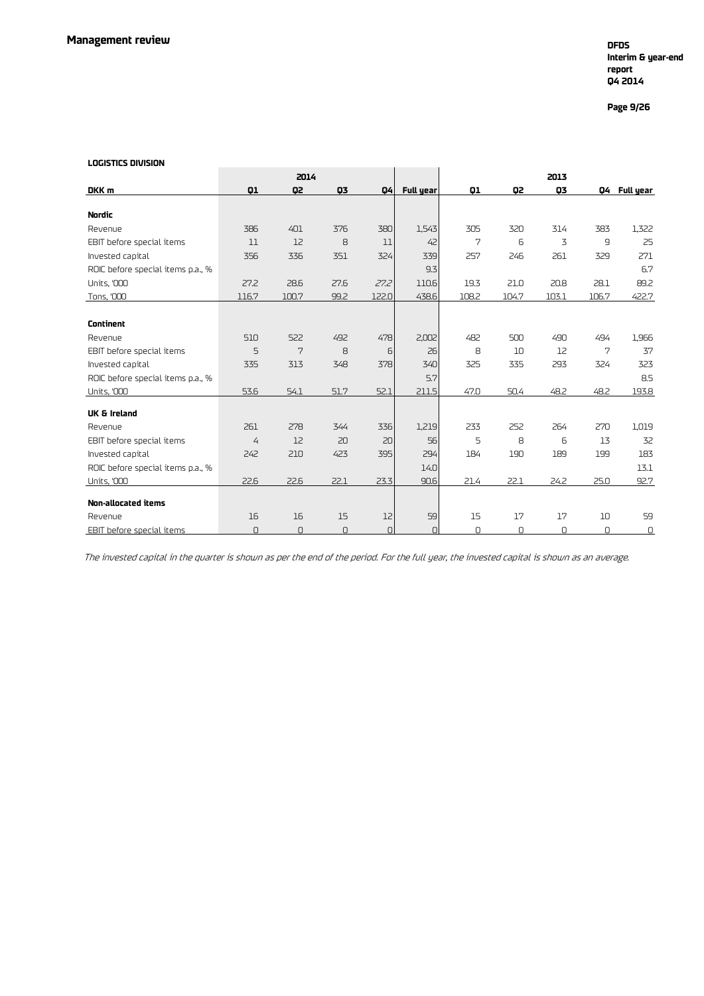### **Interim & year-end report Q4 2014**

**Page 9/26**

#### **LOGISTICS DIVISION**

| LULISTILS DIVISIUN                |                |       |      |           |                  |                |       |       |       |              |
|-----------------------------------|----------------|-------|------|-----------|------------------|----------------|-------|-------|-------|--------------|
|                                   |                | 2014  |      |           |                  |                |       | 2013  |       |              |
| DKK m                             | Q1             | G2    | 03   | 04        | <b>Full year</b> | Q1             | Q2    | 03    |       | Q4 Full year |
| <b>Nordic</b>                     |                |       |      |           |                  |                |       |       |       |              |
| Revenue                           | 386            | 401   | 376  | 380       | 1,543            | 305            | 320   | 314   | 383   | 1,322        |
| EBIT before special items         | 11             | 12    | 8    | 11        | 42               | $\overline{7}$ | 6     | 3     | 9     | 25           |
| Invested capital                  | 356            | 336   | 351  | 324       | 339              | 257            | 246   | 261   | 329   | 271          |
| ROIC before special items p.a., % |                |       |      |           | 9.3              |                |       |       |       | 6.7          |
| <b>Units, '000</b>                | 27.2           | 28.6  | 27.6 | 27.2      | 110.6            | 19.3           | 21.0  | 20.8  | 28.1  | 89.2         |
| Tons, '000                        | 116.7          | 100.7 | 99.2 | 122.0     | 438.6            | 108.2          | 104.7 | 103.1 | 106.7 | 422.7        |
|                                   |                |       |      |           |                  |                |       |       |       |              |
| <b>Continent</b>                  |                |       |      |           |                  |                |       |       |       |              |
| Revenue                           | 510            | 522   | 492  | 478       | 2,002            | 482            | 500   | 490   | 494   | 1,966        |
| EBIT before special items         | 5              | 7     | 8    | 6         | 26               | 8              | 10    | 12    | 7     | 37           |
| Invested capital                  | 335            | 313   | 348  | 378       | 340              | 325            | 335   | 293   | 324   | 323          |
| ROIC before special items p.a., % |                |       |      |           | 5.7              |                |       |       |       | 8.5          |
| <b>Units, '000</b>                | 53.6           | 54.1  | 51.7 | 52.1      | 211.5            | 47.0           | 50.4  | 48.2  | 48.2  | 193.8        |
| <b>UK &amp; Ireland</b>           |                |       |      |           |                  |                |       |       |       |              |
| Revenue                           | 261            | 278   | 344  | 336       | 1,219            | 233            | 252   | 264   | 270   | 1,019        |
| EBIT before special items         | $\overline{4}$ | 12    | 20   | 20        | 56               | 5              | 8     | 6     | 13    | 32           |
| Invested capital                  | 242            | 210   | 423  | 395       | 294              | 184            | 190   | 189   | 199   | 183          |
| ROIC before special items p.a., % |                |       |      |           | 14.0             |                |       |       |       | 13.1         |
| <b>Units, '000</b>                | 22.6           | 22.6  | 22.1 | 23.3      | 90.6             | 21.4           | 22.1  | 24.2  | 25.0  | 92.7         |
|                                   |                |       |      |           |                  |                |       |       |       |              |
| <b>Non-allocated items</b>        |                |       |      |           |                  |                |       |       |       |              |
| Revenue                           | 16             | 16    | 15   | 12        | 59               | 15             | 17    | 17    | 10    | 59           |
| EBIT before special items         | 0              | 0     | 0    | $\bigcap$ | n                | 0              | O     | O     | 0     | 0            |

The invested capital in the quarter is shown as per the end of the period. For the full year, the invested capital is shown as an average.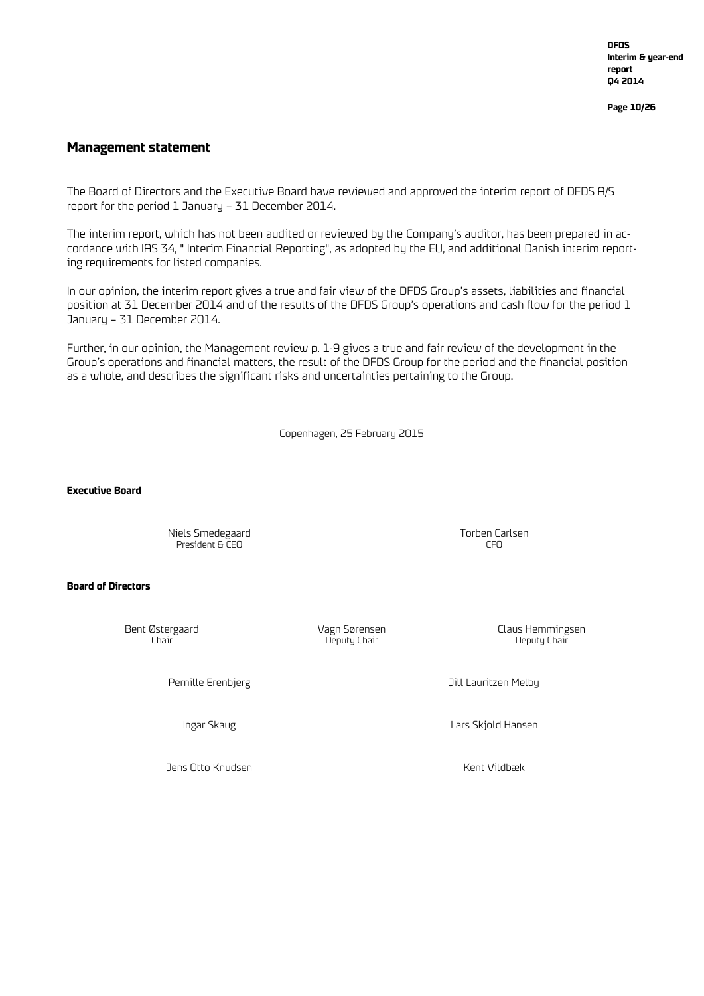**DFDS Interim & year-end report Q4 2014**

**Page 10/26**

#### **Management statement**

The Board of Directors and the Executive Board have reviewed and approved the interim report of DFDS A/S report for the period 1 January – 31 December 2014.

The interim report, which has not been audited or reviewed by the Company's auditor, has been prepared in accordance with IAS 34, " Interim Financial Reporting", as adopted by the EU, and additional Danish interim reporting requirements for listed companies.

In our opinion, the interim report gives a true and fair view of the DFDS Group's assets, liabilities and financial position at 31 December 2014 and of the results of the DFDS Group's operations and cash flow for the period 1 January – 31 December 2014.

Further, in our opinion, the Management review p. 1-9 gives a true and fair review of the development in the Group's operations and financial matters, the result of the DFDS Group for the period and the financial position as a whole, and describes the significant risks and uncertainties pertaining to the Group.

Copenhagen, 25 February 2015

**Executive Board**

Niels Smedegaard Torben Carlsen President & CEO

#### **Board of Directors**

Deputy Chair

Pernille Erenbjerg Management of the Second State of Terminal State and Till Lauritzen Melby

Ingar Skaug Lars Skjold Hansen

Jens Otto Knudsen Kent Vildbæk

Bent Østergaard Vagn Sørensen Claus Hemmingsen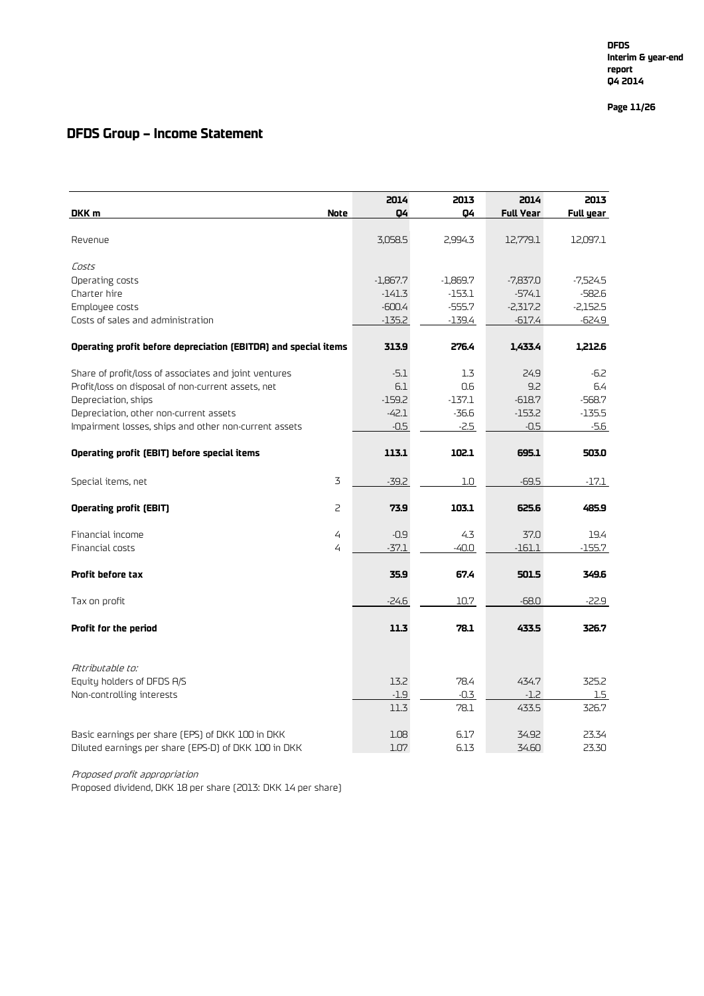**Page 11 /26**

### **DFDS Group – Income Statement**

|                                                                 | 2014       | 2013     | 2014             | 2013       |
|-----------------------------------------------------------------|------------|----------|------------------|------------|
| <b>Note</b><br>DKK m                                            | 04         | 04       | <b>Full Year</b> | Full year  |
| Revenue                                                         | 3,058.5    | 2,994.3  | 12,779.1         | 12,097.1   |
| Costs                                                           |            |          |                  |            |
| Operating costs                                                 | $-1,867.7$ | -1,869.7 | $-7,837.0$       | $-7,524.5$ |
| Charter hire                                                    | $-141.3$   | -153.1   | $-574.1$         | $-582.6$   |
| Employee costs                                                  | $-600.4$   | $-555.7$ | $-2,317.2$       | $-2,152.5$ |
| Costs of sales and administration                               | $-135.2$   | $-139.4$ | $-617.4$         | $-624.9$   |
| Operating profit before depreciation (EBITDA) and special items | 313.9      | 276.4    | 1,433.4          | 1,212.6    |
| Share of profit/loss of associates and joint ventures           | $-5.1$     | 1.3      | 24.9             | $-6.2$     |
| Profit/loss on disposal of non-current assets, net              | 6.1        | 0.6      | 9.2              | 6.4        |
| Depreciation, ships                                             | $-159.2$   | $-137.1$ | $-618.7$         | $-568.7$   |
| Depreciation, other non-current assets                          | $-42.1$    | $-36.6$  | $-153.2$         | $-135.5$   |
| Impairment losses, ships and other non-current assets           | $-0.5$     | $-2.5$   | $-0.5$           | $-5.6$     |
|                                                                 |            |          |                  |            |
| Operating profit (EBIT) before special items                    | 113.1      | 102.1    | 695.1            | 503.0      |
| 3<br>Special items, net                                         | $-39.2$    | 1.0      | $-69.5$          | $-17.1$    |
| $\overline{2}$<br><b>Operating profit (EBIT)</b>                | 73.9       | 103.1    | 625.6            | 485.9      |
| 4<br>Financial income                                           | $-0.9$     | 4.3      | 37.0             | 19.4       |
| 4<br>Financial costs                                            | $-37.1$    | -40.0    | $-161.1$         | $-155.7$   |
| Profit before tax                                               | 35.9       | 67.4     | 501.5            | 349.6      |
| Tax on profit                                                   | $-24.6$    | 10.7     | $-68.0$          | $-22.9$    |
| Profit for the period                                           | 11.3       | 78.1     | 433.5            | 326.7      |
| Attributable to:                                                |            |          |                  |            |
| Equity holders of DFDS A/S                                      | 13.2       | 78.4     | 434.7            | 325.2      |
| Non-controlling interests                                       | $-1.9$     | $-0.3$   | $-1.2$           | 1.5        |
|                                                                 | 11.3       | 78.1     | 433.5            | 326.7      |
| Basic earnings per share (EPS) of DKK 100 in DKK                | 1.08       | 6.17     | 34.92            | 23.34      |
| Diluted earnings per share [EPS-D] of DKK 100 in DKK            | 1.07       | 6.13     | 34.60            | 23.30      |

Proposed profit appropriation

Proposed dividend, DKK 18 per share (2013: DKK 14 per share)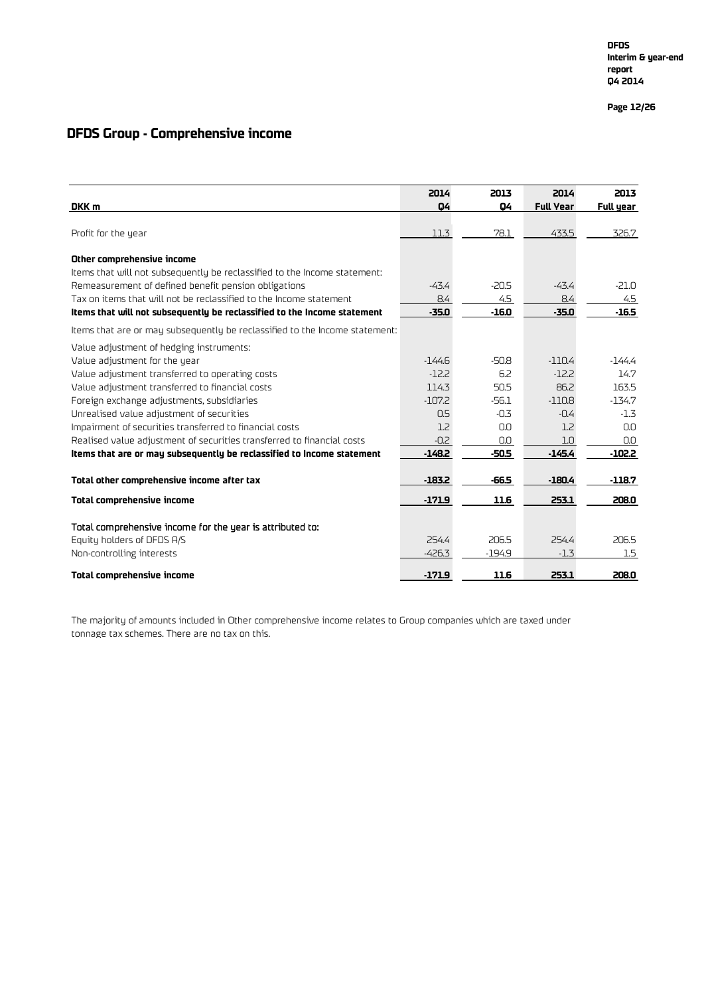**Page 12 /26**

### **DFDS Group - Comprehensive income**

|                                                                                                    | 2014              | 2013     | 2014             | 2013      |
|----------------------------------------------------------------------------------------------------|-------------------|----------|------------------|-----------|
| DKK m                                                                                              | 04                | 04       | <b>Full Year</b> | Full year |
|                                                                                                    |                   |          |                  |           |
| Profit for the year                                                                                | 11.3              | 78.1     | 433.5            | 326.7     |
| Other comprehensive income                                                                         |                   |          |                  |           |
| Items that will not subsequently be reclassified to the Income statement:                          |                   |          |                  |           |
| Remeasurement of defined benefit pension obligations                                               | $-43.4$           | $-20.5$  | $-43.4$          | $-21.0$   |
| Tax on items that will not be reclassified to the Income statement                                 | 8.4               | 4.5      | 8.4              | 4.5       |
| Items that will not subsequently be reclassified to the Income statement                           | $-35.0$           | $-16.0$  | $-35.0$          | $-16.5$   |
| Items that are or may subsequently be reclassified to the Income statement:                        |                   |          |                  |           |
|                                                                                                    |                   |          |                  |           |
| Value adjustment of hedging instruments:                                                           | $-144.6$          | $-50.8$  | $-110.4$         | -144.4    |
| Value adjustment for the year                                                                      | $-12.2$           | 6.2      | $-12.2$          | 14.7      |
| Value adjustment transferred to operating costs<br>Value adjustment transferred to financial costs | 114.3             | 50.5     | 86.2             | 163.5     |
| Foreign exchange adjustments, subsidiaries                                                         | $-107.2$          | $-56.1$  | $-110.8$         | $-134.7$  |
| Unrealised value adjustment of securities                                                          | 0.5               | $-0.3$   | $-0.4$           | $-1.3$    |
| Impairment of securities transferred to financial costs                                            | 1.2               | 0.0      | 1.2              | 0.0       |
| Realised value adjustment of securities transferred to financial costs                             | $-0.2$            | 0.0      | 1.0              | 0.0       |
| Items that are or may subsequently be reclassified to Income statement                             | $-148.2$          | $-50.5$  | $-145.4$         | $-102.2$  |
|                                                                                                    |                   |          |                  |           |
| Total other comprehensive income after tax                                                         | $-183.2$          | $-66.5$  | $-180.4$         | $-118.7$  |
| <b>Total comprehensive income</b>                                                                  | $-171.9$          | 11.6     | 253.1            | 208.0     |
|                                                                                                    |                   |          |                  |           |
| Total comprehensive income for the year is attributed to:                                          |                   |          |                  |           |
| Equity holders of DFDS A/S                                                                         | 254.4<br>$-426.3$ | 206.5    | 254.4<br>$-1.3$  | 206.5     |
| Non-controlling interests                                                                          |                   | $-194.9$ |                  | 1.5       |
| Total comprehensive income                                                                         | $-171.9$          | 11.6     | 253.1            | 208.0     |

The majority of amounts included in Other comprehensive income relates to Group companies which are taxed under tonnage tax schemes. There are no tax on this.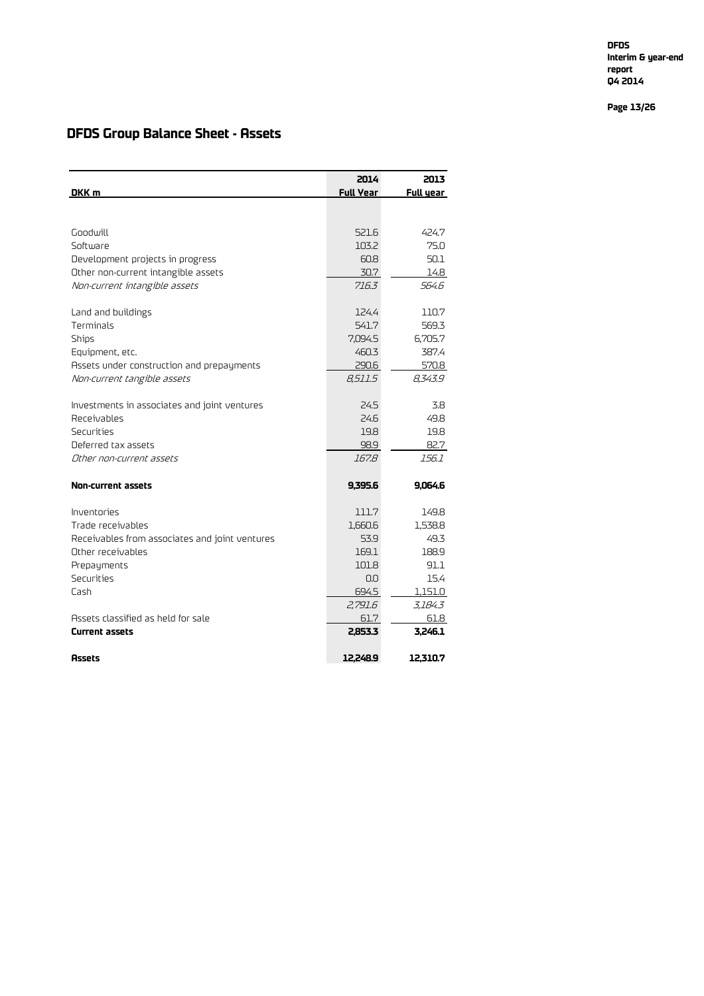**DFDS Interim & year -end report Q4 2014**

**Page 13 /26**

### **DFDS Group Balance Sheet - Assets**

| DKK m                                          | 2014<br><b>Full Year</b> | 2013<br>Full year |
|------------------------------------------------|--------------------------|-------------------|
|                                                |                          |                   |
|                                                |                          |                   |
| Goodwill                                       | 521.6                    | 424.7             |
| Software                                       | 103.2                    | 75.0              |
| Development projects in progress               | 60.8                     | 50.1              |
| Other non-current intangible assets            | 30.7                     | 14.8              |
| Non-current intangible assets                  | 716.3                    | 564 R             |
|                                                |                          |                   |
| Land and buildings                             | 124.4                    | 110.7             |
| Terminals                                      | 541.7                    | 569.3             |
| <b>Ships</b>                                   | 7,094.5                  | 6,705.7           |
| Equipment, etc.                                | 460.3                    | 387.4             |
| Assets under construction and prepayments      | 290.6                    | 570.8             |
| Non-current tangible assets                    | 8.511.5                  | 8,343.9           |
|                                                |                          |                   |
| Investments in associates and joint ventures   | 24.5                     | 3.8               |
| Receivables                                    | 24.6                     | 49.8              |
| Securities                                     | 19.8                     | 19.8              |
| Deferred tax assets                            | 98.9                     | 82.7              |
| Other non-current assets                       | 167.8                    | 156.1             |
|                                                |                          |                   |
| <b>Non-current assets</b>                      | 9,395.6                  | 9,064.6           |
| Inventories                                    | 111.7                    | 149.8             |
| Trade receivables                              | 1,660.6                  | 1,538.8           |
| Receivables from associates and joint ventures | 53.9                     | 49.3              |
| Other receivables                              | 169.1                    | 188.9             |
| Prepayments                                    | 101.8                    | 91.1              |
| Securities                                     | 0.0                      | 15.4              |
| Cash                                           | 694.5                    | 1,151.0           |
|                                                | 2,791.6                  | 3,184.3           |
| Assets classified as held for sale             | 61.7                     | 61.8              |
| <b>Current assets</b>                          | 2,853.3                  | 3,246.1           |
|                                                |                          |                   |
| <b>Assets</b>                                  | 12.248.9                 | 12.310.7          |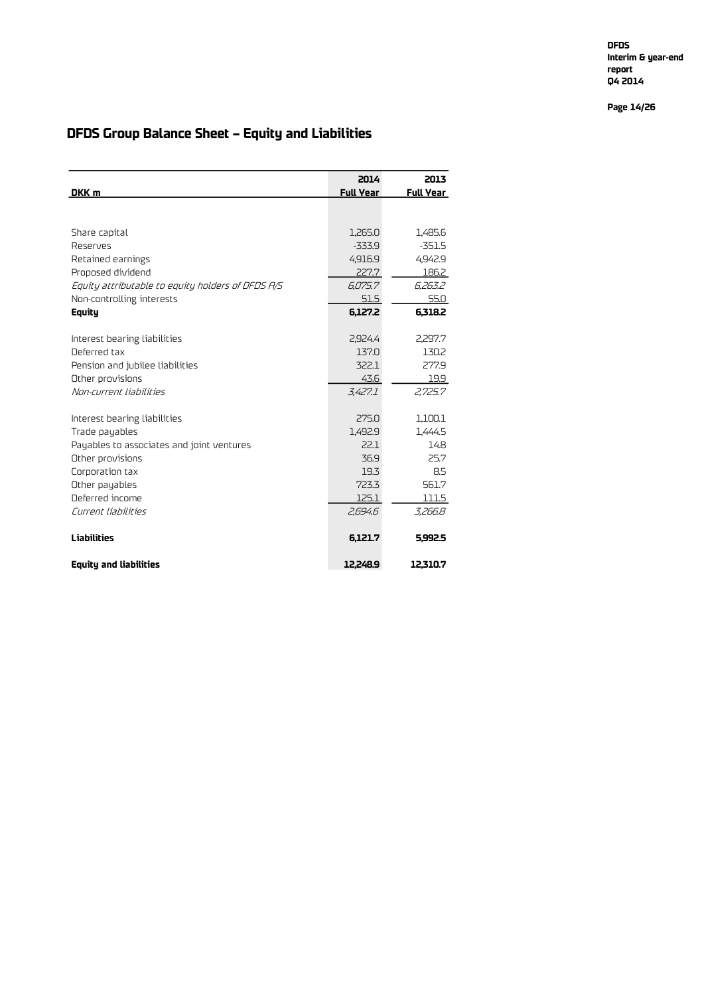**DFDS Interim & year-end report Q4 2014**

**Page 14/26**

## **DFDS Group Balance Sheet – Equity and Liabilities**

|                                                   | 2014             | 2013             |
|---------------------------------------------------|------------------|------------------|
| DKK m                                             | <b>Full Year</b> | <b>Full Year</b> |
|                                                   |                  |                  |
| Share capital                                     | 1,265.0          | 1,485.6          |
| Reserves                                          | $-333.9$         | $-351.5$         |
| Retained earnings                                 | 4,916.9          | 4,942.9          |
| Proposed dividend                                 | 227.7            | 186.2            |
| Equity attributable to equity holders of DFDS A/S | 6.075.7          | 6,263.2          |
| Non-controlling interests                         | 51.5             | 55.0             |
| Equity                                            | 6,127.2          | 6,318.2          |
|                                                   |                  |                  |
| Interest bearing liabilities                      | 2,924.4          | 2,297.7          |
| Deferred tax                                      | 137.0            | 130.2            |
| Pension and jubilee liabilities                   | 322.1            | 277.9            |
| Other provisions                                  | 43.6             | 19.9             |
| Non-current liabilities                           | 3.427.1          | 2,725.7          |
| Interest bearing liabilities                      | 275.0            | 1,100.1          |
| Trade payables                                    | 1,492.9          | 1,444.5          |
| Payables to associates and joint ventures         | 22.1             | 14.8             |
| Other provisions                                  | 36.9             | 25.7             |
| Corporation tax                                   | 19.3             | 8.5              |
| Other payables                                    | 723.3            | 561.7            |
| Deferred income                                   | 125.1            | 111.5            |
| Current liabilities                               | 2,694.6          | 3,266.8          |
| <b>Liabilities</b>                                | 6,121.7          | 5.992.5          |
| <b>Equity and liabilities</b>                     | 12.248.9         | 12.310.7         |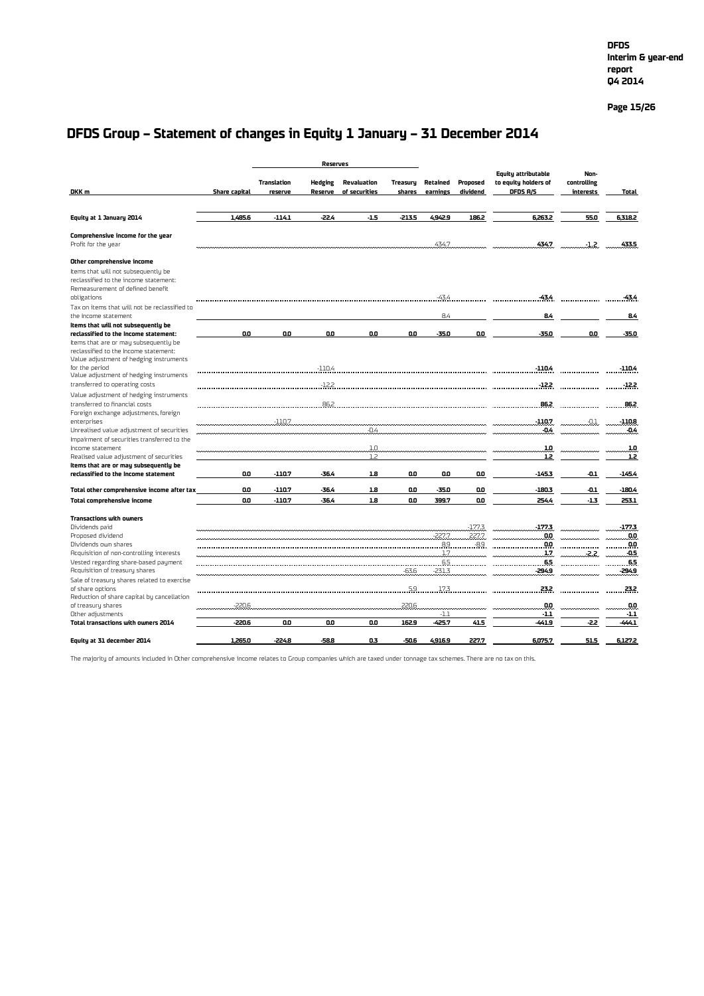#### **Page 15/26**

## **DFDS Group – Statement of changes in Equity 1 January – 31 December 2014**

| <b>Reserves</b>                                                              |               |                               |                           |                              |                    |                      |                      |                                                         |                                    |                    |
|------------------------------------------------------------------------------|---------------|-------------------------------|---------------------------|------------------------------|--------------------|----------------------|----------------------|---------------------------------------------------------|------------------------------------|--------------------|
| DKK m                                                                        | Share capital | <b>Translation</b><br>reserve | <b>Hedging</b><br>Reserve | Revaluation<br>of securities | Treasury<br>shares | Retained<br>earnings | Proposed<br>dividend | Equity attributable<br>to equity holders of<br>DFDS A/S | Non-<br>controlling<br>interests   | <b>Total</b>       |
|                                                                              |               |                               |                           |                              |                    |                      |                      |                                                         |                                    |                    |
| Equity at 1 January 2014                                                     | 1.485.6       | $-114.1$                      | -22.4                     | $-1.5$                       | $-2135$            | 4,942.9              | 186.2                | 6.263.2                                                 | 55.0                               | 6.318.2            |
| Comprehensive income for the year                                            |               |                               |                           |                              |                    |                      |                      |                                                         |                                    |                    |
| Profit for the year                                                          |               |                               |                           |                              |                    | 434.7                |                      | 434.7                                                   | $-1.2$                             | 433.5              |
| Other comprehensive income                                                   |               |                               |                           |                              |                    |                      |                      |                                                         |                                    |                    |
| Items that will not subsequently be                                          |               |                               |                           |                              |                    |                      |                      |                                                         |                                    |                    |
| reclassified to the income statement:<br>Remeasurement of defined benefit    |               |                               |                           |                              |                    |                      |                      |                                                         |                                    |                    |
| obligations                                                                  |               |                               |                           |                              |                    | -43.4                |                      | -434                                                    |                                    | -434               |
| Tax on items that will not be reclassified to                                |               |                               |                           |                              |                    |                      |                      |                                                         |                                    |                    |
| the Income statement                                                         |               |                               |                           |                              |                    | 8.4                  |                      | 8.4                                                     |                                    | 84                 |
| Items that will not subsequently be<br>reclassified to the Income statement: | O.O           | 0.0                           | 0.O                       | 0.0                          | 0.0                | $-35.0$              | 0.0                  | -35.0                                                   | 0.0                                | -35.0              |
| Items that are or may subsequently be                                        |               |                               |                           |                              |                    |                      |                      |                                                         |                                    |                    |
| reclassified to the Income statement:                                        |               |                               |                           |                              |                    |                      |                      |                                                         |                                    |                    |
| Value adjustment of hedging instruments                                      |               |                               |                           |                              |                    |                      |                      |                                                         |                                    |                    |
| for the period<br>Value adjustment of hedging instruments                    |               |                               | $-110.4$                  |                              |                    |                      |                      | $-110.4$                                                |                                    | $-1104$            |
| transferred to operating costs                                               |               |                               | $-12.2$                   |                              |                    |                      |                      | $-12.2$                                                 |                                    | -122               |
| Value adjustment of hedging instruments                                      |               |                               |                           |                              |                    |                      |                      |                                                         |                                    |                    |
| transferred to financial costs                                               |               |                               | 86.2.                     |                              |                    |                      |                      | .862.                                                   |                                    | .862               |
| Foreign exchange adjustments, foreign                                        |               |                               |                           |                              |                    |                      |                      |                                                         |                                    |                    |
| enterprises<br>Unrealised value adjustment of securities                     |               | $-110.7$                      |                           | $-0.4$                       |                    |                      |                      | $-110.7$<br>$-0.4$                                      | $-0.1$                             | $-110.8$<br>$-0.4$ |
| Impairment of securities transferred to the                                  |               |                               |                           |                              |                    |                      |                      |                                                         |                                    |                    |
| Income statement                                                             |               |                               |                           | 10                           |                    |                      |                      | 10                                                      |                                    | .10                |
| Realised value adjustment of securities                                      |               |                               |                           | 1.2                          |                    |                      |                      | 1.2                                                     |                                    | 12                 |
| Items that are or may subsequently be                                        |               |                               |                           |                              |                    |                      |                      |                                                         |                                    |                    |
| reclassified to the Income statement                                         | 0.0           | $-110.7$                      | $-36.4$                   | 18                           | 0.0                | 0.0                  | 0.0                  | $-145.3$                                                | -0.1                               | $-145.4$           |
| Total other comprehensive income after tax                                   | 0.0           | $-110.7$                      | $-36.4$                   | 1.8                          | 0.0                | $-35.0$              | 0.0                  | $-180.3$                                                | $-0.1$                             | $-180.4$           |
| <b>Total comprehensive income</b>                                            | 0.0           | $-110.7$                      | -36.4                     | 1.8                          | 0.0                | 399.7                | 0.0                  | 254.4                                                   | $-1.3$                             | 253.1              |
| <b>Transactions with owners</b>                                              |               |                               |                           |                              |                    |                      |                      |                                                         |                                    |                    |
| Dividends paid                                                               |               |                               |                           |                              |                    |                      | $-177.3$             | . 177.3.                                                |                                    |                    |
| Proposed dividend                                                            |               |                               |                           |                              |                    | $-227.7$             | 227.7                | .QQ                                                     | $\sim$                             | .00                |
| Dividends own shares<br>Acquisition of non-controlling interests             |               |                               |                           |                              |                    | 1.7                  |                      | 1.7                                                     | <b><i><u>International</u></i></b> | $-0.5$             |
| Vested regarding share-based payment                                         |               |                               |                           |                              |                    | 6.5                  |                      | .65                                                     | -2.2                               | .65                |
| Acquisition of treasury shares                                               |               |                               |                           |                              | $-63.6$ .          | $-231.3$             |                      | -294.9                                                  |                                    | -294.9             |
| Sale of treasury shares related to exercise                                  |               |                               |                           |                              |                    |                      |                      |                                                         |                                    |                    |
| of share options                                                             |               |                               |                           |                              |                    | 5.917.3.             |                      | 23.2                                                    |                                    | 232                |
| Reduction of share capital by cancellation<br>of treasury shares             | $-220.6$      |                               |                           |                              | 220.6              |                      |                      | 0.0                                                     |                                    | 0.0                |
| Other adjustments                                                            |               |                               |                           |                              |                    | $-1.1$               |                      | $-1.1$                                                  |                                    | $-1.1$             |
| Total transactions with owners 2014                                          | $-220.6$      | 0.0                           | 0.0                       | 0.0                          | 162.9              | -425.7               | 41.5                 | $-441.9$                                                | -2.2                               | -444.1             |
| Equity at 31 december 2014                                                   | 1,265.0       | -224.8                        | -588                      | 0.3                          | $-50.6$            | 4.916.9              | 227.7                | 6,075.7                                                 | 51.5                               | 6.127.2            |

The majority of amounts included in Other comprehensive income relates to Group companies which are taxed under tonnage tax schemes. There are no tax on this.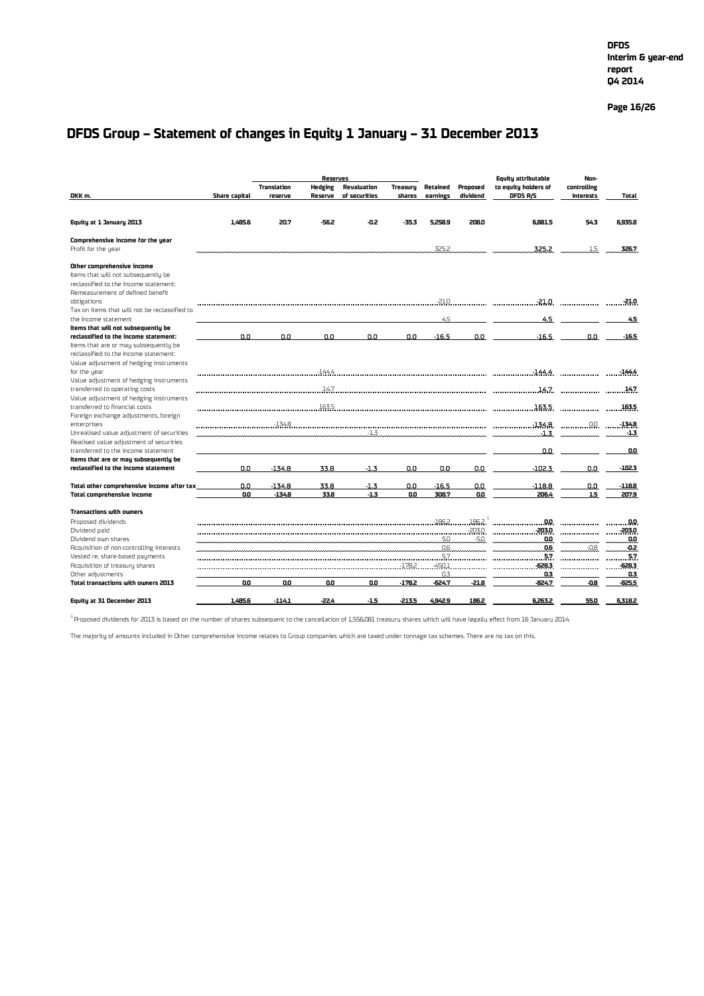#### **Page 16/26**

### **DFDS Group – Statement of changes in Equity 1 January – 31 December 2013**

|                                                                           |                      |                    | <b>Reserves</b> |               |                 |          |          | Equitu attributable            | Non-                 |                |
|---------------------------------------------------------------------------|----------------------|--------------------|-----------------|---------------|-----------------|----------|----------|--------------------------------|----------------------|----------------|
|                                                                           |                      | <b>Translation</b> | <b>Hedging</b>  | Revaluation   | <b>Treasuru</b> | Retained | Proposed | to equity holders of           | controlling          |                |
| DKK m.                                                                    | <b>Share capital</b> | reserve            | Reserve         | of securities | shares          | earnings | dividend | DFDS A/S                       | interests            | Total          |
|                                                                           |                      |                    |                 |               |                 |          |          |                                |                      |                |
| Equity at 1 January 2013                                                  | 1.485.6              | 20.7               | -56.2           | -0.2          | $-35.3$         | 5.258.9  | 208.0    | 6.881.5                        | 54.3                 | 6.935.8        |
| Comprehensive income for the year                                         |                      |                    |                 |               |                 |          |          |                                |                      |                |
| Profit for the year                                                       |                      |                    |                 |               |                 | 325.2    |          | 325.2                          |                      | 1.5<br>326.7   |
|                                                                           |                      |                    |                 |               |                 |          |          |                                |                      |                |
| Other comprehensive income                                                |                      |                    |                 |               |                 |          |          |                                |                      |                |
| Items that will not subsequently be                                       |                      |                    |                 |               |                 |          |          |                                |                      |                |
| reclassified to the income statement:                                     |                      |                    |                 |               |                 |          |          |                                |                      |                |
| Remeasurement of defined benefit                                          |                      |                    |                 |               |                 |          |          | $-21.0$                        |                      |                |
| obligations<br>Tax on items that will not be reclassified to              |                      |                    |                 |               |                 |          |          |                                | .-21.0.              | -21.0          |
| the Income statement                                                      |                      |                    |                 |               |                 | 4.5      |          | 4.5                            |                      | 4.5            |
| Items that will not subsequently be                                       |                      |                    |                 |               |                 |          |          |                                |                      |                |
| reclassified to the Income statement:                                     | 0.0                  | 0.0                | 0.0             | 0.0           | 0.0             | $-16.5$  | 0.0      | $-16.5$                        | 0.0                  | $-16.5$        |
| Items that are or may subsequently be                                     |                      |                    |                 |               |                 |          |          |                                |                      |                |
| reclassified to the Income statement:                                     |                      |                    |                 |               |                 |          |          |                                |                      |                |
| Value adjustment of hedging instruments                                   |                      |                    |                 |               |                 |          |          |                                |                      |                |
| for the uear                                                              |                      |                    |                 |               |                 |          |          |                                |                      | -1444          |
| Value adjustment of hedging instruments                                   |                      |                    |                 |               |                 |          |          |                                |                      |                |
| transferred to operating costs                                            |                      |                    | 14.7            |               |                 |          |          | $\sim$ 14.7 $\sim$ 14.7 $\sim$ |                      | 147            |
| Value adjustment of hedging instruments<br>transferred to financial costs |                      |                    |                 |               |                 |          |          |                                |                      |                |
| Foreign exchange adjustments, foreign                                     |                      |                    |                 |               |                 |          |          |                                |                      |                |
| enterprises                                                               |                      |                    |                 | $\cdot$ :1348 |                 |          |          | $1348$ 00 $1348$               |                      |                |
| Unrealised value adjustment of securities                                 |                      |                    |                 | $-1.3$        |                 |          |          | $-1.3$                         |                      | $-1.3$         |
| Realised value adjustment of securities                                   |                      |                    |                 |               |                 |          |          |                                |                      |                |
| transferred to the income statement                                       |                      |                    |                 |               |                 |          |          | 0.0                            |                      | 0.0            |
| Items that are or may subsequently be                                     |                      |                    |                 |               |                 |          |          |                                |                      |                |
| reclassified to the Income statement                                      | 0.0                  | $-134.8$           | 33.8            | $-1.3$        | 0.0             | 0.0      | 0.0      | $-102.3$                       | 0.0                  | $-102.3$       |
| Total other comprehensive income after tax                                | 0.0                  | $-134.8$           | 33.8            | $-1.3$        | 0.0             | $-16.5$  | 0.0      | 118.8                          | 0.0                  | $-118.8$       |
| <b>Total comprehensive income</b>                                         | 0.0                  | $-134.8$           | 33.8            | $-1.3$        | 0.O             | 308.7    | 0.0      | 206.4                          | 1.5                  | 207.9          |
|                                                                           |                      |                    |                 |               |                 |          |          |                                |                      |                |
| <b>Transactions with owners</b>                                           |                      |                    |                 |               |                 |          |          |                                |                      |                |
| Proposed dividends                                                        |                      |                    |                 |               |                 |          | 186.2    |                                |                      |                |
| Dividend paid                                                             |                      |                    |                 |               |                 |          | $-203.0$ | $-203.0$                       |                      | -203.0         |
| Dividend own shares                                                       |                      |                    |                 |               |                 | $-5.0$   | $-5.0$   | .0.0                           |                      | .00            |
| Acquisition of non-controlling interests                                  |                      |                    |                 |               |                 | 0.6      |          | 0.6                            | $-0.8$               | $-0.2$         |
| Vested re, share-based pauments<br>Acquisition of treasury shares         |                      |                    |                 |               | $-178.2$        | $-450.1$ |          | . 5.7 .<br>$-628.3$            |                      | .57.<br>-628.3 |
| Other adjustments                                                         |                      |                    |                 |               |                 | 0.3      |          | 0.3                            | -------------------- | 0.3            |
| Total transactions with owners 2013                                       | 0.0                  | 0.0                | 0.0             | 00            | $-178.2$        | -624.7   | $-21.8$  | $-824.7$                       | $-0.8$               | $-825.5$       |
|                                                                           |                      |                    |                 |               |                 |          |          |                                |                      |                |
| Equity at 31 December 2013                                                | 1,485.6              | $-114.1$           | -22.4           | $-1.5$        | $-213.5$        | 4.942.9  | 186.2    | 6.263.2                        | 55.0                 | 6.318.2        |

 $^{\rm 1}$ Proposed dividends for 2013 is based on the number of shares subsequent to the cancellation of 1.556,081 treasuru shares which will have legally effect from 16 January 2014.

The majority of amounts included in Other comprehensive income relates to Group companies which are taxed under tonnage tax schemes. There are no tax on this.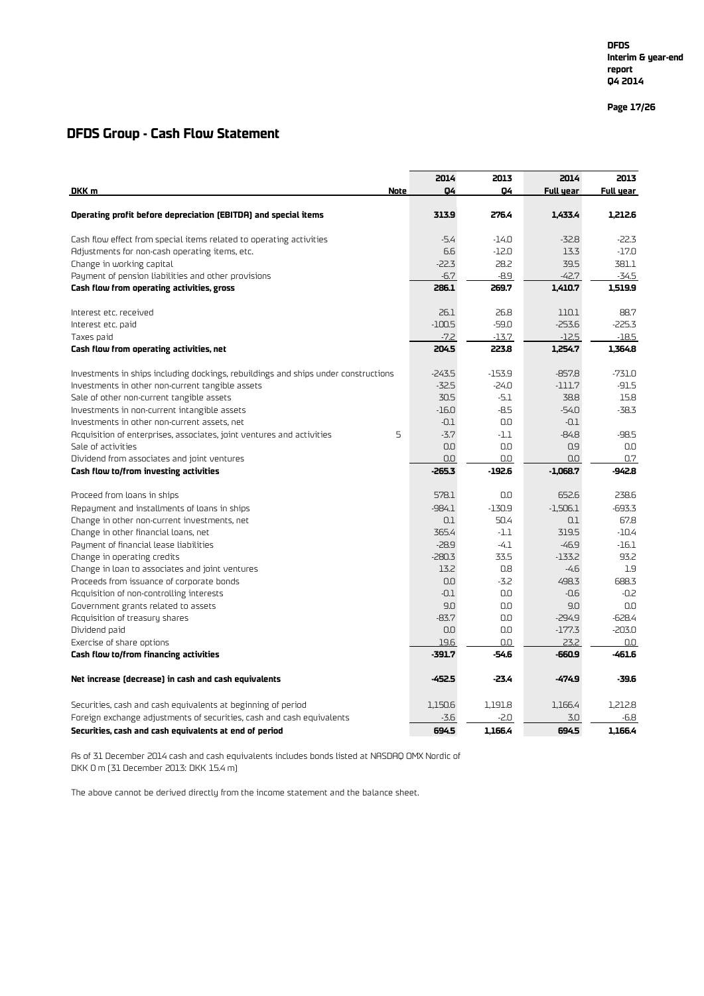**Page 17 /26**

### **DFDS Group - Cash Flow Statement**

|                                                                                    | 2014     | 2013     | 2014       | 2013      |
|------------------------------------------------------------------------------------|----------|----------|------------|-----------|
| DKK m<br>Note                                                                      | Q4       | 04       | Full year  | Full year |
| Operating profit before depreciation (EBITDA) and special items                    | 313.9    | 276.4    | 1.433.4    | 1.212.6   |
| Cash flow effect from special items related to operating activities                | $-5.4$   | $-14.0$  | $-32.8$    | $-22.3$   |
| Adjustments for non-cash operating items, etc.                                     | 6.6      | $-12.0$  | 13.3       | $-17.0$   |
| Change in working capital                                                          | $-22.3$  | 28.2     | 39.5       | 381.1     |
| Payment of pension liabilities and other provisions                                | $-6.7$   | $-8.9$   | $-42.7$    | $-34.5$   |
| Cash flow from operating activities, gross                                         | 286.1    | 269.7    | 1,410.7    | 1,519.9   |
| Interest etc. received                                                             | 26.1     | 26.8     | 110.1      | 88.7      |
| Interest etc. paid                                                                 | $-100.5$ | $-59.0$  | $-253.6$   | $-225.3$  |
| Taxes paid                                                                         | $-7.2$   | $-13.7$  | $-12.5$    | $-18.5$   |
| Cash flow from operating activities, net                                           | 204.5    | 223.8    | 1,254.7    | 1.364.8   |
| Investments in ships including dockings, rebuildings and ships under constructions | $-243.5$ | $-153.9$ | $-857.8$   | $-731.0$  |
| Investments in other non-current tangible assets                                   | $-32.5$  | $-24.0$  | $-111.7$   | $-91.5$   |
| Sale of other non-current tangible assets                                          | 30.5     | $-5.1$   | 38.8       | 15.8      |
| Investments in non-current intangible assets                                       | $-16.0$  | $-8.5$   | $-54.0$    | $-38.3$   |
| Investments in other non-current assets, net                                       | $-0.1$   | 0.0      | $-0.1$     |           |
| 5<br>Acquisition of enterprises, associates, joint ventures and activities         | $-3.7$   | $-1.1$   | $-84.8$    | -98.5     |
| Sale of activities                                                                 | 0.0      | 0.0      | 0.9        | 0.0       |
| Dividend from associates and joint ventures                                        | 0.0      | 0.0      | 0.0        | 0.7       |
| Cash flow to/from investing activities                                             | $-265.3$ | $-192.6$ | $-1.068.7$ | -942.8    |
| Proceed from loans in ships                                                        | 578.1    | 0.0      | 652.6      | 238.6     |
| Repayment and installments of loans in ships                                       | $-984.1$ | $-130.9$ | $-1,506.1$ | $-693.3$  |
| Change in other non-current investments, net                                       | 0.1      | 50.4     | 0.1        | 67.8      |
| Change in other financial loans, net                                               | 365.4    | $-1.1$   | 319.5      | $-10.4$   |
| Payment of financial lease liabilities                                             | $-28.9$  | $-4.1$   | $-46.9$    | $-16.1$   |
| Change in operating credits                                                        | $-280.3$ | 33.5     | $-133.2$   | 93.2      |
| Change in loan to associates and joint ventures                                    | 13.2     | 0.8      | $-4.6$     | 1.9       |
| Proceeds from issuance of corporate bonds                                          | 0.0      | $-3.2$   | 498.3      | 688.3     |
| Acquisition of non-controlling interests                                           | $-0.1$   | 0.0      | $-0.6$     | $-0.2$    |
| Government grants related to assets                                                | 9.0      | 0.0      | 9.0        | 0.0       |
| Acquisition of treasury shares                                                     | $-83.7$  | 0.0      | $-294.9$   | $-628.4$  |
| Dividend paid                                                                      | 0.0      | 0.0      | $-177.3$   | $-203.0$  |
| Exercise of share options                                                          | 19.6     | 0.0      | 23.2       | 0.0       |
| Cash flow to/from financing activities                                             | $-391.7$ | $-54.6$  | -660.9     | $-461.6$  |
| Net increase (decrease) in cash and cash equivalents                               | $-452.5$ | $-23.4$  | $-474.9$   | -39.6     |
| Securities, cash and cash equivalents at beginning of period                       | 1,150.6  | 1.191.8  | 1,166.4    | 1.212.8   |
| Foreign exchange adjustments of securities, cash and cash equivalents              | $-3.6$   | $-2.0$   | 3.0        | $-6.8$    |
| Securities, cash and cash equivalents at end of period                             | 694.5    | 1.166.4  | 694.5      | 1.166.4   |

As of 31 December 2014 cash and cash equivalents includes bonds listed at NASDAQ OMX Nordic of DKK 0 m (31 December 2013: DKK 15.4 m)

The above cannot be derived directly from the income statement and the balance sheet.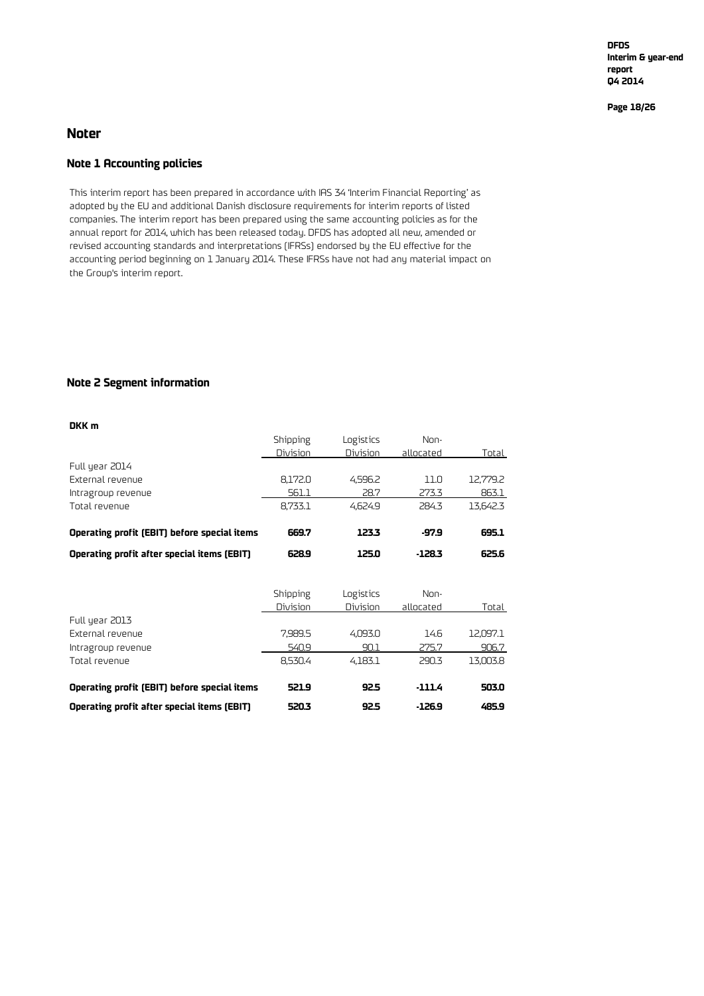**DFDS Interim & year-end report Q4 2014**

**Page 18/26**

#### **Noter**

#### **Note 1 Accounting policies**

This interim report has been prepared in accordance with IAS 34 'Interim Financial Reporting' as adopted by the EU and additional Danish disclosure requirements for interim reports of listed companies. The interim report has been prepared using the same accounting policies as for the annual report for 2014, which has been released today. DFDS has adopted all new, amended or revised accounting standards and interpretations (IFRSs) endorsed by the EU effective for the accounting period beginning on 1 January 2014. These IFRSs have not had any material impact on the Group's interim report.

#### **Note 2 Segment information**

| DKK m                                        |          |                 |           |          |
|----------------------------------------------|----------|-----------------|-----------|----------|
|                                              | Shipping | Logistics       | Non-      |          |
|                                              | Division | <b>Division</b> | allocated | Total    |
| Full year 2014                               |          |                 |           |          |
| External revenue                             | 8.172.0  | 4.596.2         | 11.N      | 12.779.2 |
| Intragroup revenue                           | 561.1    | 28.7            | 273.3     | 863.1    |
| Total revenue                                | 8.733.1  | 4.624.9         | 284.3     | 13.642.3 |
| Operating profit (EBIT) before special items | 669.7    | 123.3           | -97.9     | 695.1    |
| Operating profit after special items (EBIT)  | 628.9    | 125.0           | $-128.3$  | 625.6    |

|                                              | Shipping | Logistics | Non-      |          |
|----------------------------------------------|----------|-----------|-----------|----------|
|                                              | Division | Division  | allocated | Total    |
| Full year 2013                               |          |           |           |          |
| External revenue                             | 7.989.5  | 4,093.0   | 14.6      | 12.097.1 |
| Intragroup revenue                           | 540.9    | 90.1      | 275.7     | 906.7    |
| Total revenue                                | 8.530.4  | 4.183.1   | 290.3     | 13.003.8 |
|                                              |          |           |           |          |
| Operating profit (EBIT) before special items | 521.9    | 92.5      | $-111.4$  | 503.0    |
| Operating profit after special items (EBIT)  | 520.3    | 92.5      | $-126.9$  | 485.9    |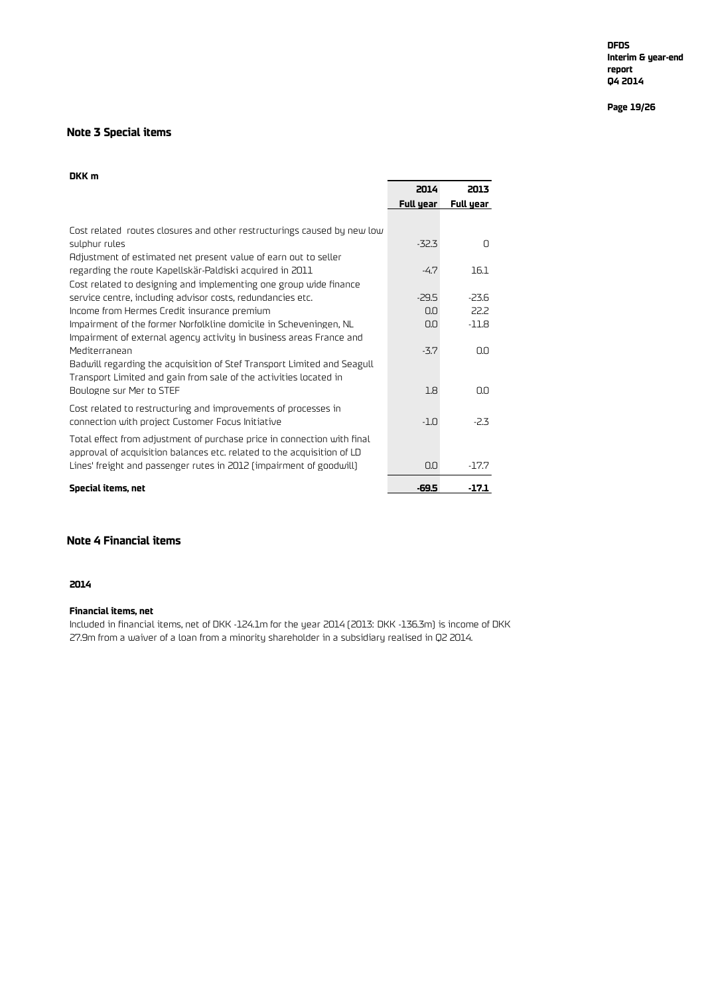#### **Page 19/26**

#### **Note 3 Special items**

#### **DKK m**

| 2014      | 2013             |
|-----------|------------------|
| Full year | Full year        |
|           |                  |
|           |                  |
|           | O                |
|           |                  |
| $-4.7$    | 16.1             |
|           |                  |
| $-29.5$   | $-23.6$          |
| 0.0       | 22.2             |
| 0.0       | $-11.8$          |
|           |                  |
| $-3.7$    | O.O              |
|           |                  |
|           |                  |
| 1.8       | 0.0              |
|           |                  |
| $-1.0$    | $-2.3$           |
|           |                  |
|           |                  |
| 0.0       | $-17.7$          |
|           | -17.1            |
|           | $-32.3$<br>-69.5 |

#### **Note 4 Financial items**

#### **2014**

#### **Financial items, net**

Included in financial items, net of DKK -124.1m for the year 2014 (2013: DKK -136.3m) is income of DKK 27.9m from a waiver of a loan from a minority shareholder in a subsidiary realised in Q2 2014.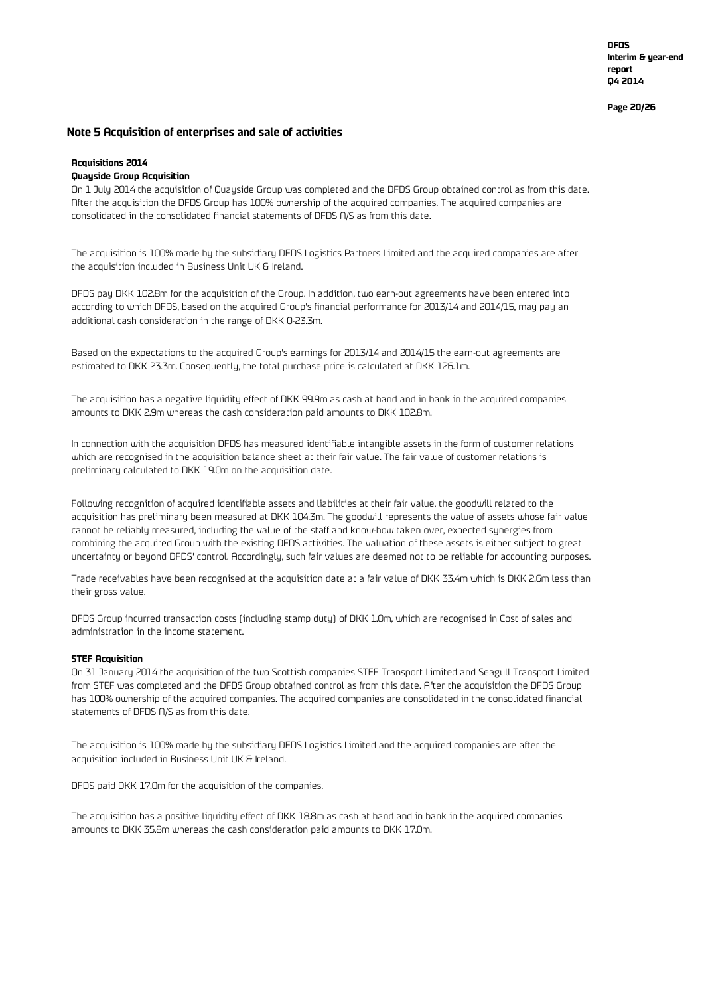**DFDS Interim & year-end report Q4 2014**

**Page 20/26**

#### **Note 5 Acquisition of enterprises and sale of activities**

#### **Acquisitions 2014**

#### **Quayside Group Acquisition**

On 1 July 2014 the acquisition of Quayside Group was completed and the DFDS Group obtained control as from this date. After the acquisition the DFDS Group has 100% ownership of the acquired companies. The acquired companies are consolidated in the consolidated financial statements of DFDS A/S as from this date.

The acquisition is 100% made by the subsidiary DFDS Logistics Partners Limited and the acquired companies are after the acquisition included in Business Unit UK & Ireland.

DFDS pay DKK 102.8m for the acquisition of the Group. In addition, two earn-out agreements have been entered into according to which DFDS, based on the acquired Group's financial performance for 2013/14 and 2014/15, may pay an additional cash consideration in the range of DKK 0-23.3m.

Based on the expectations to the acquired Group's earnings for 2013/14 and 2014/15 the earn-out agreements are estimated to DKK 23.3m. Consequently, the total purchase price is calculated at DKK 126.1m.

The acquisition has a negative liquidity effect of DKK 99.9m as cash at hand and in bank in the acquired companies amounts to DKK 2.9m whereas the cash consideration paid amounts to DKK 102.8m.

In connection with the acquisition DFDS has measured identifiable intangible assets in the form of customer relations which are recognised in the acquisition balance sheet at their fair value. The fair value of customer relations is preliminary calculated to DKK 19.0m on the acquisition date.

Following recognition of acquired identifiable assets and liabilities at their fair value, the goodwill related to the acquisition has preliminary been measured at DKK 104.3m. The goodwill represents the value of assets whose fair value cannot be reliably measured, including the value of the staff and know-how taken over, expected synergies from combining the acquired Group with the existing DFDS activities. The valuation of these assets is either subject to great uncertainty or beyond DFDS' control. Accordingly, such fair values are deemed not to be reliable for accounting purposes.

Trade receivables have been recognised at the acquisition date at a fair value of DKK 33.4m which is DKK 2.6m less than their gross value.

DFDS Group incurred transaction costs (including stamp duty) of DKK 1.0m, which are recognised in Cost of sales and administration in the income statement.

#### **STEF Acquisition**

On 31 January 2014 the acquisition of the two Scottish companies STEF Transport Limited and Seagull Transport Limited from STEF was completed and the DFDS Group obtained control as from this date. After the acquisition the DFDS Group has 100% ownership of the acquired companies. The acquired companies are consolidated in the consolidated financial statements of DFDS A/S as from this date.

The acquisition is 100% made by the subsidiary DFDS Logistics Limited and the acquired companies are after the acquisition included in Business Unit UK & Ireland.

DFDS paid DKK 17.0m for the acquisition of the companies.

The acquisition has a positive liquidity effect of DKK 18.8m as cash at hand and in bank in the acquired companies amounts to DKK 35.8m whereas the cash consideration paid amounts to DKK 17.0m.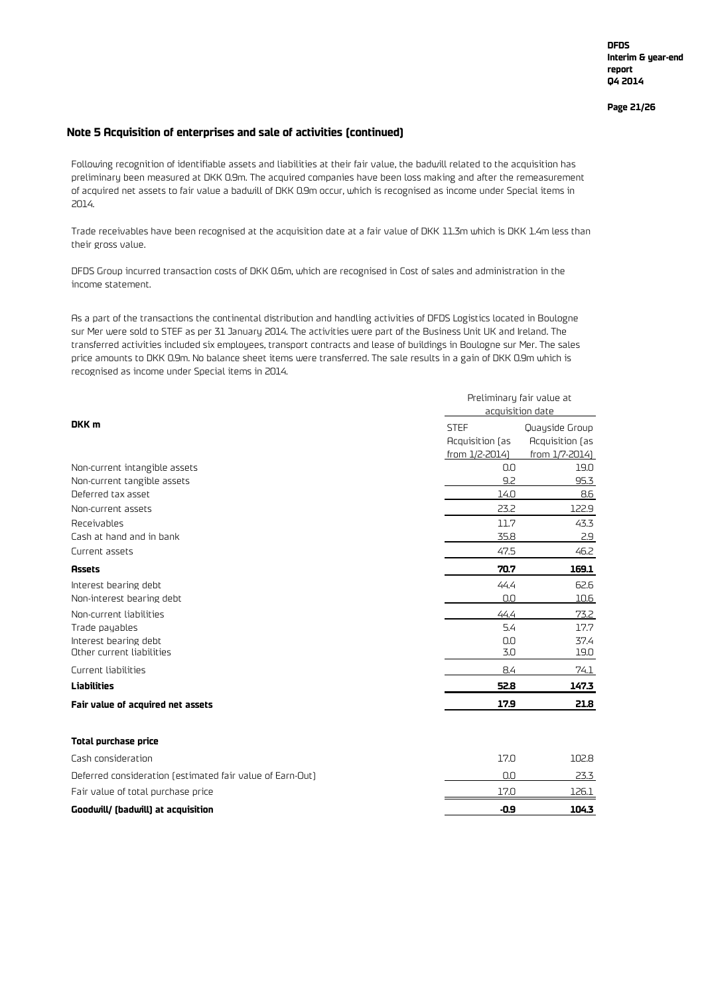#### **Note 5 Acquisition of enterprises and sale of activities (continued)**

Following recognition of identifiable assets and liabilities at their fair value, the badwill related to the acquisition has preliminary been measured at DKK 0.9m. The acquired companies have been loss making and after the remeasurement of acquired net assets to fair value a badwill of DKK 0.9m occur, which is recognised as income under Special items in 2014.

Trade receivables have been recognised at the acquisition date at a fair value of DKK 11.3m which is DKK 1.4m less than their gross value.

DFDS Group incurred transaction costs of DKK 0.6m, which are recognised in Cost of sales and administration in the income statement.

As a part of the transactions the continental distribution and handling activities of DFDS Logistics located in Boulogne sur Mer were sold to STEF as per 31 January 2014. The activities were part of the Business Unit UK and Ireland. The transferred activities included six employees, transport contracts and lease of buildings in Boulogne sur Mer. The sales price amounts to DKK 0.9m. No balance sheet items were transferred. The sale results in a gain of DKK 0.9m which is recognised as income under Special items in 2014.

|                                                           | Preliminary fair value at<br>acquisition date |                                   |  |  |
|-----------------------------------------------------------|-----------------------------------------------|-----------------------------------|--|--|
| DKK <sub>m</sub>                                          |                                               |                                   |  |  |
|                                                           | <b>STEF</b>                                   | Quayside Group                    |  |  |
|                                                           | Acquisition (as<br>from 1/2-2014)             | Acquisition (as<br>from 1/7-2014) |  |  |
| Non-current intangible assets                             | 0.0                                           | 19.0                              |  |  |
| Non-current tangible assets                               | 9.2                                           | 95.3                              |  |  |
| Deferred tax asset                                        | 14.0                                          | 8.6                               |  |  |
| Non-current assets                                        | 23.2                                          | 122.9                             |  |  |
| Receivables                                               | 11.7                                          | 43.3                              |  |  |
| Cash at hand and in bank                                  | 35.8                                          | 2.9                               |  |  |
| Current assets                                            | 47.5                                          | 46.2                              |  |  |
| <b>Assets</b>                                             | 70.7                                          | 169.1                             |  |  |
| Interest bearing debt                                     | 44.4                                          | 62.6                              |  |  |
| Non-interest bearing debt                                 | 0.0                                           | 10.6                              |  |  |
| Non-current liabilities                                   | 44.4                                          | 73.2                              |  |  |
| Trade payables                                            | 5.4                                           | 17.7                              |  |  |
| Interest bearing debt                                     | 0.0                                           | 37.4                              |  |  |
| Other current liabilities                                 | 3.0                                           | 19.0                              |  |  |
| Current liabilities                                       | 8.4                                           | 74.1                              |  |  |
| <b>Liabilities</b>                                        | 52.8                                          | 147.3                             |  |  |
| Fair value of acquired net assets                         | 17.9                                          | 21.8                              |  |  |
| <b>Total purchase price</b>                               |                                               |                                   |  |  |
| Cash consideration                                        | 17.0                                          | 102.8                             |  |  |
| Deferred consideration (estimated fair value of Earn-Out) | 0.0                                           | 23.3                              |  |  |
| Fair value of total purchase price                        | 17.0                                          | 126.1                             |  |  |
| Goodwill/ (badwill) at acquisition                        | $-0.9$                                        | 104.3                             |  |  |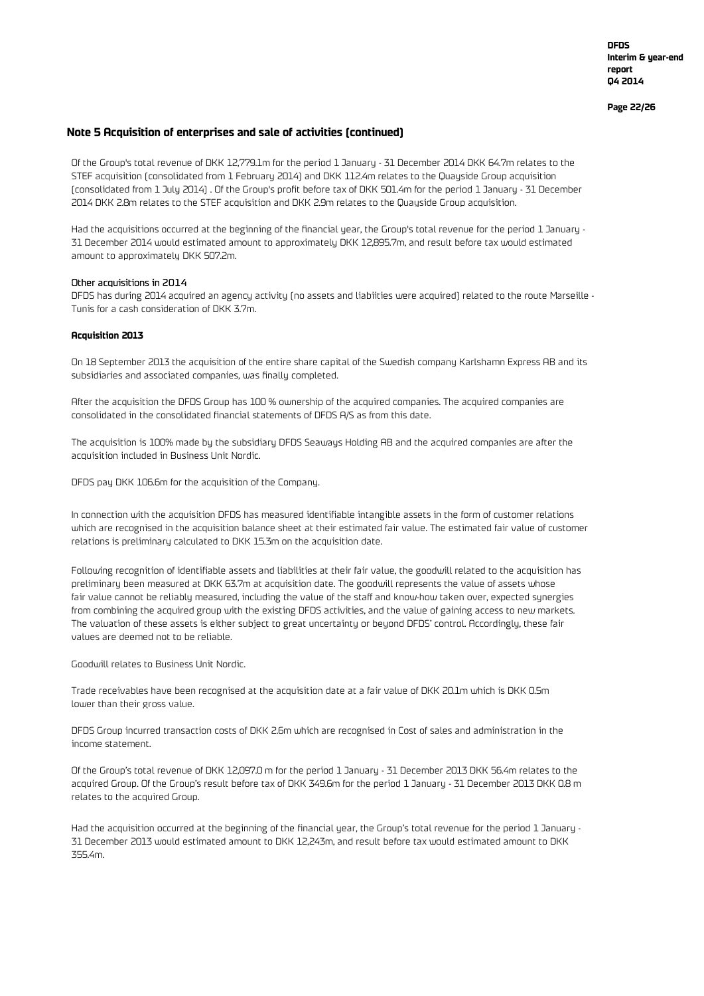**Page 22/26**

#### **Note 5 Acquisition of enterprises and sale of activities (continued)**

Of the Group's total revenue of DKK 12,779.1m for the period 1 January - 31 December 2014 DKK 64.7m relates to the STEF acquisition (consolidated from 1 February 2014) and DKK 112.4m relates to the Quayside Group acquisition (consolidated from 1 July 2014) . Of the Group's profit before tax of DKK 501.4m for the period 1 January - 31 December 2014 DKK 2.8m relates to the STEF acquisition and DKK 2.9m relates to the Quayside Group acquisition.

Had the acquisitions occurred at the beginning of the financial year, the Group's total revenue for the period 1 January - 31 December 2014 would estimated amount to approximately DKK 12,895.7m, and result before tax would estimated amount to approximately DKK 507.2m.

#### Other acquisitions in 2014

DFDS has during 2014 acquired an agency activity (no assets and liabiities were acquired) related to the route Marseille - Tunis for a cash consideration of DKK 3.7m.

#### **Acquisition 2013**

On 18 September 2013 the acquisition of the entire share capital of the Swedish company Karlshamn Express AB and its subsidiaries and associated companies, was finally completed.

After the acquisition the DFDS Group has 100 % ownership of the acquired companies. The acquired companies are consolidated in the consolidated financial statements of DFDS A/S as from this date.

The acquisition is 100% made by the subsidiary DFDS Seaways Holding AB and the acquired companies are after the acquisition included in Business Unit Nordic.

DFDS pay DKK 106.6m for the acquisition of the Company.

In connection with the acquisition DFDS has measured identifiable intangible assets in the form of customer relations which are recognised in the acquisition balance sheet at their estimated fair value. The estimated fair value of customer relations is preliminary calculated to DKK 15.3m on the acquisition date.

Following recognition of identifiable assets and liabilities at their fair value, the goodwill related to the acquisition has preliminary been measured at DKK 63.7m at acquisition date. The goodwill represents the value of assets whose fair value cannot be reliably measured, including the value of the staff and know-how taken over, expected synergies from combining the acquired group with the existing DFDS activities, and the value of gaining access to new markets. The valuation of these assets is either subject to great uncertainty or beyond DFDS' control. Accordingly, these fair values are deemed not to be reliable.

Goodwill relates to Business Unit Nordic.

Trade receivables have been recognised at the acquisition date at a fair value of DKK 20.1m which is DKK 0.5m lower than their gross value.

DFDS Group incurred transaction costs of DKK 2.6m which are recognised in Cost of sales and administration in the income statement.

Of the Group's total revenue of DKK 12,097.0 m for the period 1 January - 31 December 2013 DKK 56.4m relates to the acquired Group. Of the Group's result before tax of DKK 349.6m for the period 1 January - 31 December 2013 DKK 0.8 m relates to the acquired Group.

Had the acquisition occurred at the beginning of the financial year, the Group's total revenue for the period 1 January - 31 December 2013 would estimated amount to DKK 12,243m, and result before tax would estimated amount to DKK 355.4m.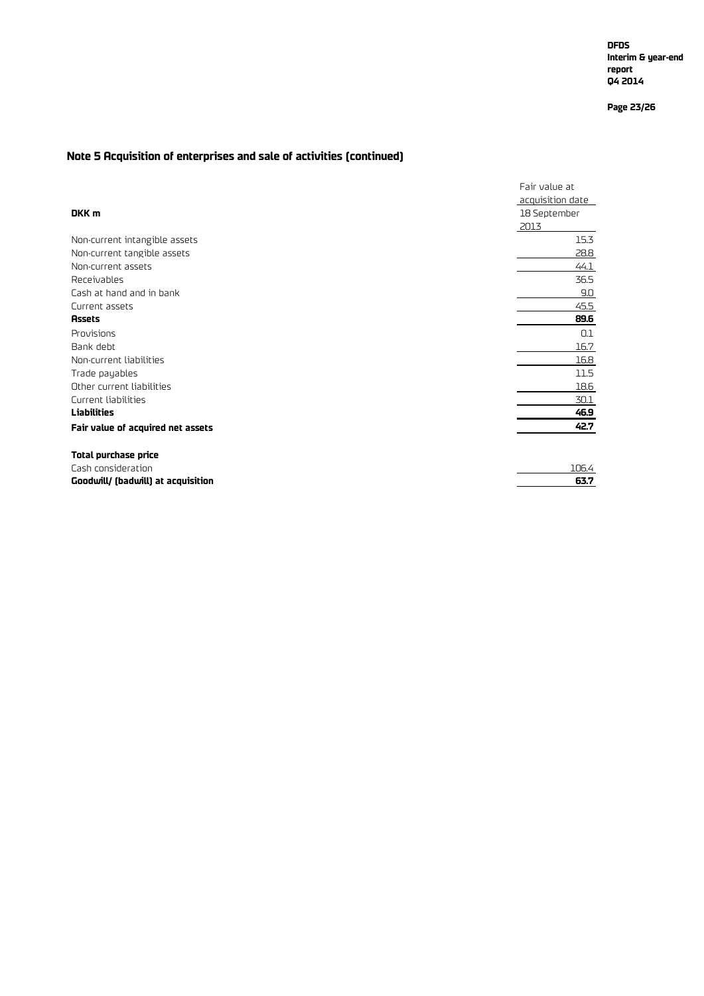**Page 23/26**

### **Note 5 Acquisition of enterprises and sale of activities (continued)**

|                                    | Fair value at    |
|------------------------------------|------------------|
|                                    | acquisition date |
| DKK m                              | 18 September     |
|                                    | 2013             |
| Non-current intangible assets      | 15.3             |
| Non-current tangible assets        | 28.8             |
| Non-current assets                 | 44.1             |
| Receivables                        | 36.5             |
| Cash at hand and in bank           | 9.0              |
| Current assets                     | 45.5             |
| <b>Assets</b>                      | 89.6             |
| Provisions                         | 0.1              |
| Bank debt                          | 16.7             |
| Non-current liabilities            | 16.8             |
| Trade payables                     | 11.5             |
| Other current liabilities          | 18.6             |
| Current liabilities                | 30.1             |
| Liabilities                        | 46.9             |
| Fair value of acquired net assets  | 42.7             |
| Total purchase price               |                  |
| Cash consideration                 | 106.4            |
| Goodwill/ (badwill) at acquisition | 63.7             |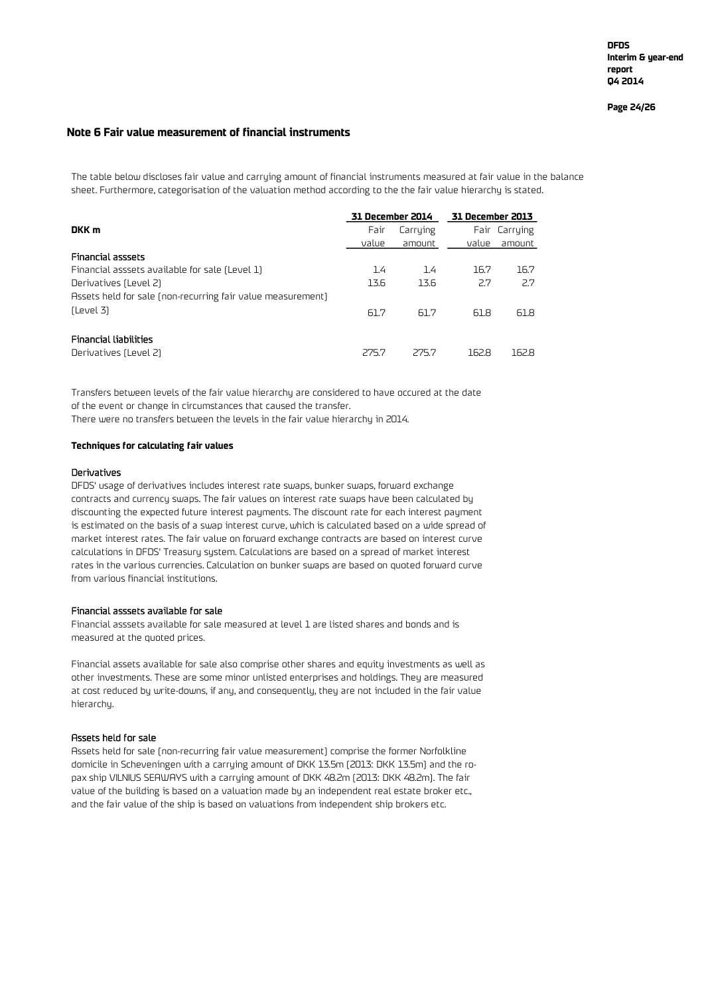**Page 24/26**

#### **Note 6 Fair value measurement of financial instruments**

The table below discloses fair value and carrying amount of financial instruments measured at fair value in the balance sheet. Furthermore, categorisation of the valuation method according to the the fair value hierarchy is stated.

|                                                             | 31 December 2014 |          | 31 December 2013 |               |
|-------------------------------------------------------------|------------------|----------|------------------|---------------|
| DKK m                                                       | Fair             | Carrying |                  | Fair Carrying |
|                                                             | value            | amount   | value            | amount        |
| <b>Financial asssets</b>                                    |                  |          |                  |               |
| Financial asssets available for sale (Level 1)              | 1.4              | 1.4      | 16.7             | 16.7          |
| Derivatives (Level 2)                                       | 13.6             | 13.6     | 2.7              | 2.7           |
| Assets held for sale (non-recurring fair value measurement) |                  |          |                  |               |
| (Level 3)                                                   | 61.7             | 61.7     | 61.8             | 61.8          |
| <b>Financial liabilities</b>                                |                  |          |                  |               |
| Derivatives (Level 2)                                       | 275.7            | 275.7    | 162.8            | 162.8         |

Transfers between levels of the fair value hierarchy are considered to have occured at the date of the event or change in circumstances that caused the transfer.

There were no transfers between the levels in the fair value hierarchy in 2014.

#### **Techniques for calculating fair values**

#### Derivatives

DFDS' usage of derivatives includes interest rate swaps, bunker swaps, forward exchange contracts and currency swaps. The fair values on interest rate swaps have been calculated by discounting the expected future interest payments. The discount rate for each interest payment is estimated on the basis of a swap interest curve, which is calculated based on a wide spread of market interest rates. The fair value on forward exchange contracts are based on interest curve calculations in DFDS' Treasury system. Calculations are based on a spread of market interest rates in the various currencies. Calculation on bunker swaps are based on quoted forward curve from various financial institutions.

#### Financial asssets available for sale

Financial asssets available for sale measured at level 1 are listed shares and bonds and is measured at the quoted prices.

Financial assets available for sale also comprise other shares and equity investments as well as other investments. These are some minor unlisted enterprises and holdings. They are measured at cost reduced by write-downs, if any, and consequently, they are not included in the fair value hierarchy.

#### Assets held for sale

Assets held for sale (non-recurring fair value measurement) comprise the former Norfolkline domicile in Scheveningen with a carrying amount of DKK 13.5m (2013: DKK 13.5m) and the ropax ship VILNIUS SEAWAYS with a carrying amount of DKK 48.2m (2013: DKK 48.2m). The fair value of the building is based on a valuation made by an independent real estate broker etc., and the fair value of the ship is based on valuations from independent ship brokers etc.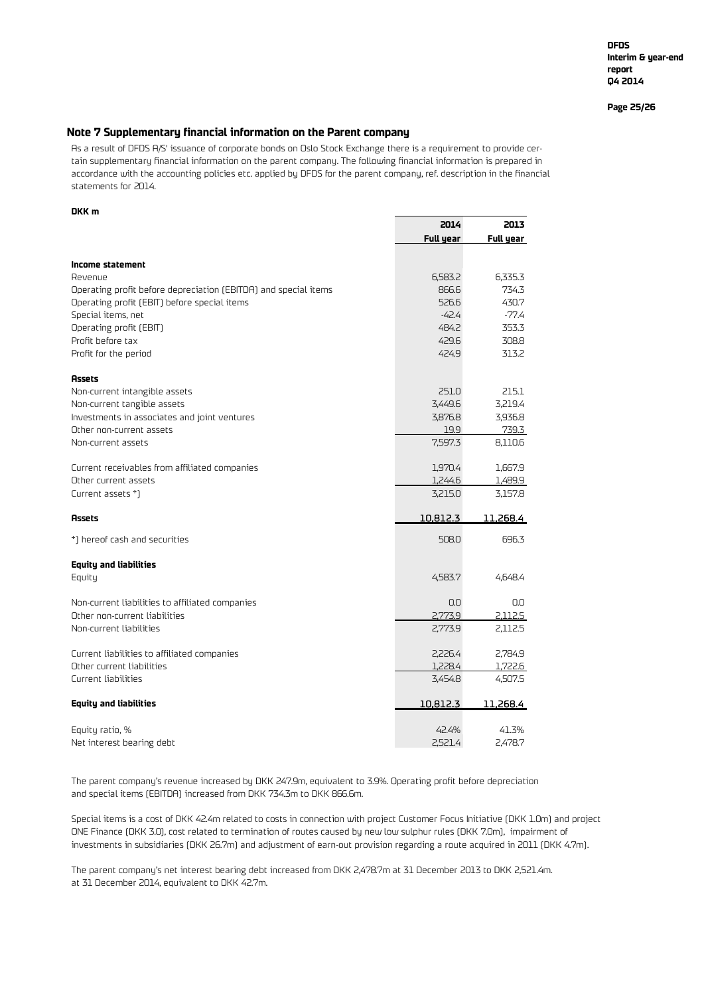**DFDS Interim & year-end report Q4 2014**

**Page 25/26**

**2014 2013**

#### **Note 7 Supplementary financial information on the Parent company**

As a result of DFDS A/S' issuance of corporate bonds on Oslo Stock Exchange there is a requirement to provide certain supplementary financial information on the parent company. The following financial information is prepared in accordance with the accounting policies etc. applied by DFDS for the parent company, ref. description in the financial statements for 2014.

#### **DKK m**

|                                                                 | <b>Full year</b> | Full year |
|-----------------------------------------------------------------|------------------|-----------|
| Income statement                                                |                  |           |
| Revenue                                                         | 6,583.2          | 6,335.3   |
| Operating profit before depreciation (EBITDA) and special items | 866.6            | 734.3     |
| Operating profit (EBIT) before special items                    | 526.6            | 430.7     |
| Special items, net                                              | $-42.4$          | -77.4     |
| Operating profit (EBIT)                                         | 484.2            | 353.3     |
| Profit before tax                                               | 429.6            | 308.8     |
| Profit for the period                                           | 424.9            | 313.2     |
| <b>Assets</b>                                                   |                  |           |
| Non-current intangible assets                                   | 251.0            | 215.1     |
| Non-current tangible assets                                     | 3,449.6          | 3,219.4   |
| Investments in associates and joint ventures                    | 3,876.8          | 3,936.8   |
| Other non-current assets                                        | 19.9             | 739.3     |
| Non-current assets                                              | 7,597.3          | 8,110.6   |
| Current receivables from affiliated companies                   | 1,970.4          | 1,667.9   |
| Other current assets                                            | 1,244.6          | 1,489.9   |
| Current assets *)                                               | 3,215.0          | 3,157.8   |
| <b>Assets</b>                                                   | 10,812.3         | 11,268.4  |
| *) hereof cash and securities                                   | 508.0            | 696.3     |
| <b>Equity and liabilities</b>                                   |                  |           |
| Equity                                                          | 4,583.7          | 4.648.4   |
| Non-current liabilities to affiliated companies                 | 0.0              | 0.0       |
| Other non-current liabilities                                   | 2,773.9          | 2,112.5   |
| Non-current liabilities                                         | 2,773.9          | 2,112.5   |
| Current liabilities to affiliated companies                     | 2,226.4          | 2,784.9   |
| Other current liabilities                                       | 1,228.4          | 1,722.6   |
| Current liabilities                                             | 3,454.8          | 4,507.5   |
| <b>Equity and liabilities</b>                                   | 10,812.3         | 11,268.4  |
| Equity ratio, %                                                 | 42.4%            | 41.3%     |
| Net interest bearing debt                                       | 2,521.4          | 2,478.7   |

The parent company's revenue increased by DKK 247.9m, equivalent to 3.9%. Operating profit before depreciation and special items (EBITDA) increased from DKK 734.3m to DKK 866.6m.

Special items is a cost of DKK 42.4m related to costs in connection with project Customer Focus Initiative (DKK 1.0m) and project ONE Finance (DKK 3.0), cost related to termination of routes caused by new low sulphur rules (DKK 7.0m), impairment of investments in subsidiaries (DKK 26.7m) and adjustment of earn-out provision regarding a route acquired in 2011 (DKK 4.7m).

The parent company's net interest bearing debt increased from DKK 2,478.7m at 31 December 2013 to DKK 2,521.4m. at 31 December 2014, equivalent to DKK 42.7m.